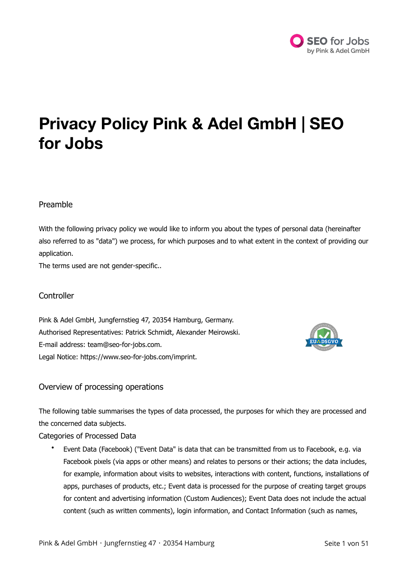

# **Privacy Policy Pink & Adel GmbH | SEO for Jobs**

# Preamble

With the following privacy policy we would like to inform you about the types of personal data (hereinafter also referred to as "data") we process, for which purposes and to what extent in the context of providing our application.

The terms used are not gender-specific..

## **Controller**

Pink & Adel GmbH, Jungfernstieg 47, 20354 Hamburg, Germany. Authorised Representatives: Patrick Schmidt, Alexander Meirowski. E-mail address: team@seo-for-jobs.com. Legal Notice: [https://www.seo-for-jobs.com/imprint.](https://www.seo-for-jobs.com/imprint)



# Overview of processing operations

The following table summarises the types of data processed, the purposes for which they are processed and the concerned data subjects.

Categories of Processed Data

• Event Data (Facebook) ("Event Data" is data that can be transmitted from us to Facebook, e.g. via Facebook pixels (via apps or other means) and relates to persons or their actions; the data includes, for example, information about visits to websites, interactions with content, functions, installations of apps, purchases of products, etc.; Event data is processed for the purpose of creating target groups for content and advertising information (Custom Audiences); Event Data does not include the actual content (such as written comments), login information, and Contact Information (such as names,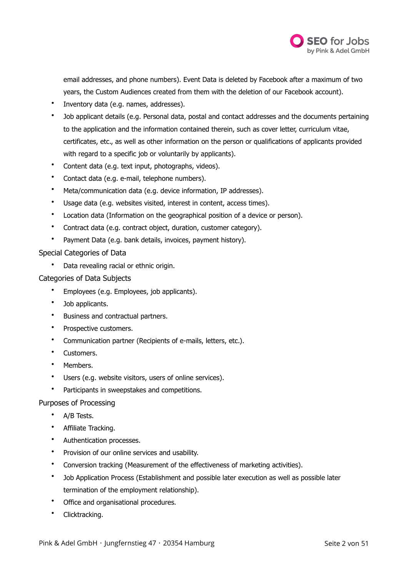

email addresses, and phone numbers). Event Data is deleted by Facebook after a maximum of two years, the Custom Audiences created from them with the deletion of our Facebook account).

- Inventory data (e.g. names, addresses).
- Job applicant details (e.g. Personal data, postal and contact addresses and the documents pertaining to the application and the information contained therein, such as cover letter, curriculum vitae, certificates, etc., as well as other information on the person or qualifications of applicants provided with regard to a specific job or voluntarily by applicants).
- Content data (e.g. text input, photographs, videos).
- Contact data (e.g. e-mail, telephone numbers).
- Meta/communication data (e.g. device information, IP addresses).
- Usage data (e.g. websites visited, interest in content, access times).
- Location data (Information on the geographical position of a device or person).
- Contract data (e.g. contract object, duration, customer category).
- Payment Data (e.g. bank details, invoices, payment history).

## Special Categories of Data

• Data revealing racial or ethnic origin.

## Categories of Data Subjects

- Employees (e.g. Employees, job applicants).
- Job applicants.
- Business and contractual partners.
- Prospective customers.
- Communication partner (Recipients of e-mails, letters, etc.).
- Customers.
- Members.
- Users (e.g. website visitors, users of online services).
- Participants in sweepstakes and competitions.

## Purposes of Processing

- A/B Tests.
- Affiliate Tracking.
- Authentication processes.
- Provision of our online services and usability.
- Conversion tracking (Measurement of the effectiveness of marketing activities).
- Job Application Process (Establishment and possible later execution as well as possible later termination of the employment relationship).
- Office and organisational procedures.
- Clicktracking.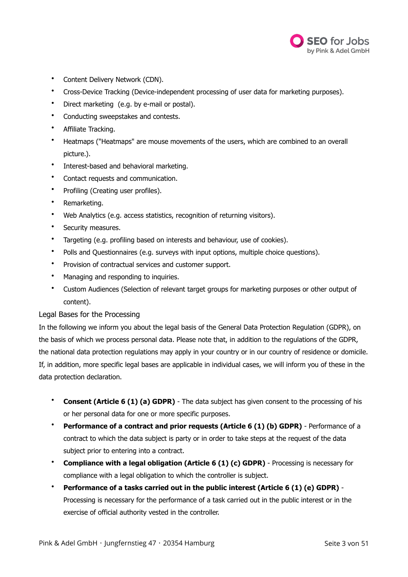

- Content Delivery Network (CDN).
- Cross-Device Tracking (Device-independent processing of user data for marketing purposes).
- Direct marketing (e.g. by e-mail or postal).
- Conducting sweepstakes and contests.
- Affiliate Tracking.
- Heatmaps ("Heatmaps" are mouse movements of the users, which are combined to an overall picture.).
- Interest-based and behavioral marketing.
- Contact requests and communication.
- Profiling (Creating user profiles).
- Remarketing.
- Web Analytics (e.g. access statistics, recognition of returning visitors).
- Security measures.
- Targeting (e.g. profiling based on interests and behaviour, use of cookies).
- Polls and Questionnaires (e.g. surveys with input options, multiple choice questions).
- Provision of contractual services and customer support.
- Managing and responding to inquiries.
- Custom Audiences (Selection of relevant target groups for marketing purposes or other output of content).

## Legal Bases for the Processing

In the following we inform you about the legal basis of the General Data Protection Regulation (GDPR), on the basis of which we process personal data. Please note that, in addition to the regulations of the GDPR, the national data protection regulations may apply in your country or in our country of residence or domicile. If, in addition, more specific legal bases are applicable in individual cases, we will inform you of these in the data protection declaration.

- **Consent (Article 6 (1) (a) GDPR)** The data subject has given consent to the processing of his or her personal data for one or more specific purposes.
- **Performance of a contract and prior requests (Article 6 (1) (b) GDPR)** Performance of a contract to which the data subject is party or in order to take steps at the request of the data subject prior to entering into a contract.
- **Compliance with a legal obligation (Article 6 (1) (c) GDPR)** Processing is necessary for compliance with a legal obligation to which the controller is subject.
- **Performance of a tasks carried out in the public interest (Article 6 (1) (e) GDPR)** Processing is necessary for the performance of a task carried out in the public interest or in the exercise of official authority vested in the controller.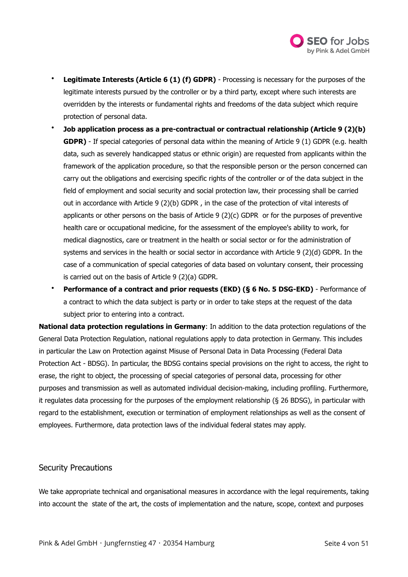

- **Legitimate Interests (Article 6 (1) (f) GDPR)** Processing is necessary for the purposes of the legitimate interests pursued by the controller or by a third party, except where such interests are overridden by the interests or fundamental rights and freedoms of the data subject which require protection of personal data.
- **Job application process as a pre-contractual or contractual relationship (Article 9 (2)(b) GDPR)** - If special categories of personal data within the meaning of Article 9 (1) GDPR (e.g. health data, such as severely handicapped status or ethnic origin) are requested from applicants within the framework of the application procedure, so that the responsible person or the person concerned can carry out the obligations and exercising specific rights of the controller or of the data subject in the field of employment and social security and social protection law, their processing shall be carried out in accordance with Article 9 (2)(b) GDPR , in the case of the protection of vital interests of applicants or other persons on the basis of Article 9 (2)(c) GDPR or for the purposes of preventive health care or occupational medicine, for the assessment of the employee's ability to work, for medical diagnostics, care or treatment in the health or social sector or for the administration of systems and services in the health or social sector in accordance with Article 9 (2)(d) GDPR. In the case of a communication of special categories of data based on voluntary consent, their processing is carried out on the basis of Article 9 (2)(a) GDPR.
- **Performance of a contract and prior requests (EKD) (§ 6 No. 5 DSG-EKD)** Performance of a contract to which the data subject is party or in order to take steps at the request of the data subject prior to entering into a contract.

**National data protection regulations in Germany**: In addition to the data protection regulations of the General Data Protection Regulation, national regulations apply to data protection in Germany. This includes in particular the Law on Protection against Misuse of Personal Data in Data Processing (Federal Data Protection Act - BDSG). In particular, the BDSG contains special provisions on the right to access, the right to erase, the right to object, the processing of special categories of personal data, processing for other purposes and transmission as well as automated individual decision-making, including profiling. Furthermore, it regulates data processing for the purposes of the employment relationship (§ 26 BDSG), in particular with regard to the establishment, execution or termination of employment relationships as well as the consent of employees. Furthermore, data protection laws of the individual federal states may apply.

## Security Precautions

We take appropriate technical and organisational measures in accordance with the legal requirements, taking into account the state of the art, the costs of implementation and the nature, scope, context and purposes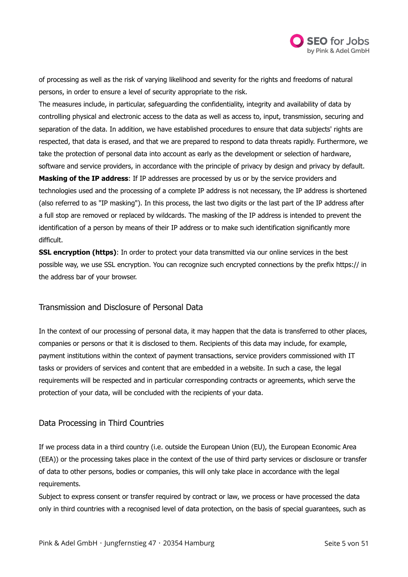

of processing as well as the risk of varying likelihood and severity for the rights and freedoms of natural persons, in order to ensure a level of security appropriate to the risk.

The measures include, in particular, safeguarding the confidentiality, integrity and availability of data by controlling physical and electronic access to the data as well as access to, input, transmission, securing and separation of the data. In addition, we have established procedures to ensure that data subjects' rights are respected, that data is erased, and that we are prepared to respond to data threats rapidly. Furthermore, we take the protection of personal data into account as early as the development or selection of hardware, software and service providers, in accordance with the principle of privacy by design and privacy by default. **Masking of the IP address**: If IP addresses are processed by us or by the service providers and

technologies used and the processing of a complete IP address is not necessary, the IP address is shortened (also referred to as "IP masking"). In this process, the last two digits or the last part of the IP address after a full stop are removed or replaced by wildcards. The masking of the IP address is intended to prevent the identification of a person by means of their IP address or to make such identification significantly more difficult.

**SSL encryption (https)**: In order to protect your data transmitted via our online services in the best possible way, we use SSL encryption. You can recognize such encrypted connections by the prefix https:// in the address bar of your browser.

## Transmission and Disclosure of Personal Data

In the context of our processing of personal data, it may happen that the data is transferred to other places, companies or persons or that it is disclosed to them. Recipients of this data may include, for example, payment institutions within the context of payment transactions, service providers commissioned with IT tasks or providers of services and content that are embedded in a website. In such a case, the legal requirements will be respected and in particular corresponding contracts or agreements, which serve the protection of your data, will be concluded with the recipients of your data.

# Data Processing in Third Countries

If we process data in a third country (i.e. outside the European Union (EU), the European Economic Area (EEA)) or the processing takes place in the context of the use of third party services or disclosure or transfer of data to other persons, bodies or companies, this will only take place in accordance with the legal requirements.

Subject to express consent or transfer required by contract or law, we process or have processed the data only in third countries with a recognised level of data protection, on the basis of special guarantees, such as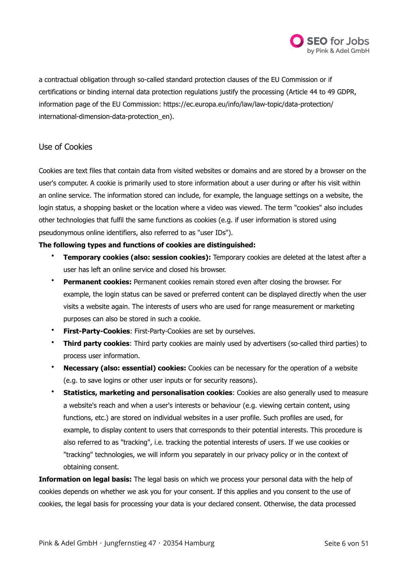

a contractual obligation through so-called standard protection clauses of the EU Commission or if certifications or binding internal data protection regulations justify the processing (Article 44 to 49 GDPR, information page of the EU Commission: [https://ec.europa.eu/info/law/law-topic/data-protection/](https://ec.europa.eu/info/law/law-topic/data-protection/international-dimension-data-protection_en) international-dimension-data-protection en).

# Use of Cookies

Cookies are text files that contain data from visited websites or domains and are stored by a browser on the user's computer. A cookie is primarily used to store information about a user during or after his visit within an online service. The information stored can include, for example, the language settings on a website, the login status, a shopping basket or the location where a video was viewed. The term "cookies" also includes other technologies that fulfil the same functions as cookies (e.g. if user information is stored using pseudonymous online identifiers, also referred to as "user IDs").

## **The following types and functions of cookies are distinguished:**

- **Temporary cookies (also: session cookies):** Temporary cookies are deleted at the latest after a user has left an online service and closed his browser.
- **Permanent cookies:** Permanent cookies remain stored even after closing the browser. For example, the login status can be saved or preferred content can be displayed directly when the user visits a website again. The interests of users who are used for range measurement or marketing purposes can also be stored in such a cookie.
- **First-Party-Cookies**: First-Party-Cookies are set by ourselves.
- **Third party cookies**: Third party cookies are mainly used by advertisers (so-called third parties) to process user information.
- **Necessary (also: essential) cookies:** Cookies can be necessary for the operation of a website (e.g. to save logins or other user inputs or for security reasons).
- **Statistics, marketing and personalisation cookies**: Cookies are also generally used to measure a website's reach and when a user's interests or behaviour (e.g. viewing certain content, using functions, etc.) are stored on individual websites in a user profile. Such profiles are used, for example, to display content to users that corresponds to their potential interests. This procedure is also referred to as "tracking", i.e. tracking the potential interests of users. If we use cookies or "tracking" technologies, we will inform you separately in our privacy policy or in the context of obtaining consent.

**Information on legal basis:** The legal basis on which we process your personal data with the help of cookies depends on whether we ask you for your consent. If this applies and you consent to the use of cookies, the legal basis for processing your data is your declared consent. Otherwise, the data processed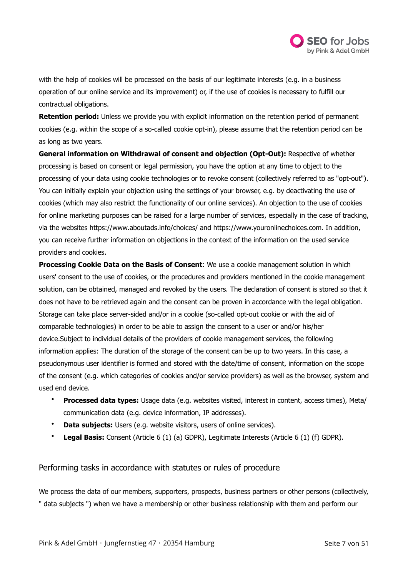

with the help of cookies will be processed on the basis of our legitimate interests (e.g. in a business operation of our online service and its improvement) or, if the use of cookies is necessary to fulfill our contractual obligations.

**Retention period:** Unless we provide you with explicit information on the retention period of permanent cookies (e.g. within the scope of a so-called cookie opt-in), please assume that the retention period can be as long as two years.

**General information on Withdrawal of consent and objection (Opt-Out):** Respective of whether processing is based on consent or legal permission, you have the option at any time to object to the processing of your data using cookie technologies or to revoke consent (collectively referred to as "opt-out"). You can initially explain your objection using the settings of your browser, e.g. by deactivating the use of cookies (which may also restrict the functionality of our online services). An objection to the use of cookies for online marketing purposes can be raised for a large number of services, especially in the case of tracking, via the websites <https://www.aboutads.info/choices/>and [https://www.youronlinechoices.com.](https://www.youronlinechoices.com) In addition, you can receive further information on objections in the context of the information on the used service providers and cookies.

**Processing Cookie Data on the Basis of Consent**: We use a cookie management solution in which users' consent to the use of cookies, or the procedures and providers mentioned in the cookie management solution, can be obtained, managed and revoked by the users. The declaration of consent is stored so that it does not have to be retrieved again and the consent can be proven in accordance with the legal obligation. Storage can take place server-sided and/or in a cookie (so-called opt-out cookie or with the aid of comparable technologies) in order to be able to assign the consent to a user or and/or his/her device.Subject to individual details of the providers of cookie management services, the following information applies: The duration of the storage of the consent can be up to two years. In this case, a pseudonymous user identifier is formed and stored with the date/time of consent, information on the scope of the consent (e.g. which categories of cookies and/or service providers) as well as the browser, system and used end device.

- **Processed data types:** Usage data (e.g. websites visited, interest in content, access times), Meta/ communication data (e.g. device information, IP addresses).
- **Data subjects:** Users (e.g. website visitors, users of online services).
- **Legal Basis:** Consent (Article 6 (1) (a) GDPR), Legitimate Interests (Article 6 (1) (f) GDPR).

# Performing tasks in accordance with statutes or rules of procedure

We process the data of our members, supporters, prospects, business partners or other persons (collectively, " data subjects ") when we have a membership or other business relationship with them and perform our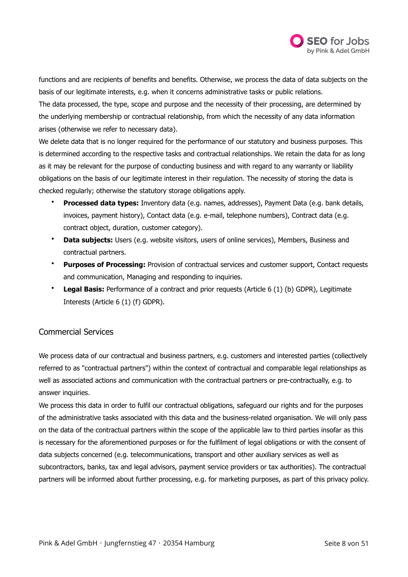

functions and are recipients of benefits and benefits. Otherwise, we process the data of data subjects on the basis of our legitimate interests, e.g. when it concerns administrative tasks or public relations.

The data processed, the type, scope and purpose and the necessity of their processing, are determined by the underlying membership or contractual relationship, from which the necessity of any data information arises (otherwise we refer to necessary data).

We delete data that is no longer required for the performance of our statutory and business purposes. This is determined according to the respective tasks and contractual relationships. We retain the data for as long as it may be relevant for the purpose of conducting business and with regard to any warranty or liability obligations on the basis of our legitimate interest in their regulation. The necessity of storing the data is checked regularly; otherwise the statutory storage obligations apply.

- **Processed data types:** Inventory data (e.g. names, addresses), Payment Data (e.g. bank details, invoices, payment history), Contact data (e.g. e-mail, telephone numbers), Contract data (e.g. contract object, duration, customer category).
- **Data subjects:** Users (e.g. website visitors, users of online services), Members, Business and contractual partners.
- **Purposes of Processing:** Provision of contractual services and customer support, Contact requests and communication, Managing and responding to inquiries.
- **Legal Basis:** Performance of a contract and prior requests (Article 6 (1) (b) GDPR), Legitimate Interests (Article 6 (1) (f) GDPR).

# Commercial Services

We process data of our contractual and business partners, e.g. customers and interested parties (collectively referred to as "contractual partners") within the context of contractual and comparable legal relationships as well as associated actions and communication with the contractual partners or pre-contractually, e.g. to answer inquiries.

We process this data in order to fulfil our contractual obligations, safeguard our rights and for the purposes of the administrative tasks associated with this data and the business-related organisation. We will only pass on the data of the contractual partners within the scope of the applicable law to third parties insofar as this is necessary for the aforementioned purposes or for the fulfilment of legal obligations or with the consent of data subjects concerned (e.g. telecommunications, transport and other auxiliary services as well as subcontractors, banks, tax and legal advisors, payment service providers or tax authorities). The contractual partners will be informed about further processing, e.g. for marketing purposes, as part of this privacy policy.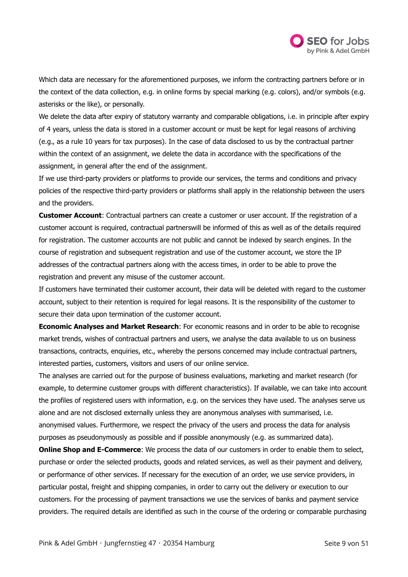

Which data are necessary for the aforementioned purposes, we inform the contracting partners before or in the context of the data collection, e.g. in online forms by special marking (e.g. colors), and/or symbols (e.g. asterisks or the like), or personally.

We delete the data after expiry of statutory warranty and comparable obligations, i.e. in principle after expiry of 4 years, unless the data is stored in a customer account or must be kept for legal reasons of archiving (e.g., as a rule 10 years for tax purposes). In the case of data disclosed to us by the contractual partner within the context of an assignment, we delete the data in accordance with the specifications of the assignment, in general after the end of the assignment.

If we use third-party providers or platforms to provide our services, the terms and conditions and privacy policies of the respective third-party providers or platforms shall apply in the relationship between the users and the providers.

**Customer Account**: Contractual partners can create a customer or user account. If the registration of a customer account is required, contractual partnerswill be informed of this as well as of the details required for registration. The customer accounts are not public and cannot be indexed by search engines. In the course of registration and subsequent registration and use of the customer account, we store the IP addresses of the contractual partners along with the access times, in order to be able to prove the registration and prevent any misuse of the customer account.

If customers have terminated their customer account, their data will be deleted with regard to the customer account, subject to their retention is required for legal reasons. It is the responsibility of the customer to secure their data upon termination of the customer account.

**Economic Analyses and Market Research**: For economic reasons and in order to be able to recognise market trends, wishes of contractual partners and users, we analyse the data available to us on business transactions, contracts, enquiries, etc., whereby the persons concerned may include contractual partners, interested parties, customers, visitors and users of our online service.

The analyses are carried out for the purpose of business evaluations, marketing and market research (for example, to determine customer groups with different characteristics). If available, we can take into account the profiles of registered users with information, e.g. on the services they have used. The analyses serve us alone and are not disclosed externally unless they are anonymous analyses with summarised, i.e. anonymised values. Furthermore, we respect the privacy of the users and process the data for analysis purposes as pseudonymously as possible and if possible anonymously (e.g. as summarized data).

**Online Shop and E-Commerce:** We process the data of our customers in order to enable them to select, purchase or order the selected products, goods and related services, as well as their payment and delivery, or performance of other services. If necessary for the execution of an order, we use service providers, in particular postal, freight and shipping companies, in order to carry out the delivery or execution to our customers. For the processing of payment transactions we use the services of banks and payment service providers. The required details are identified as such in the course of the ordering or comparable purchasing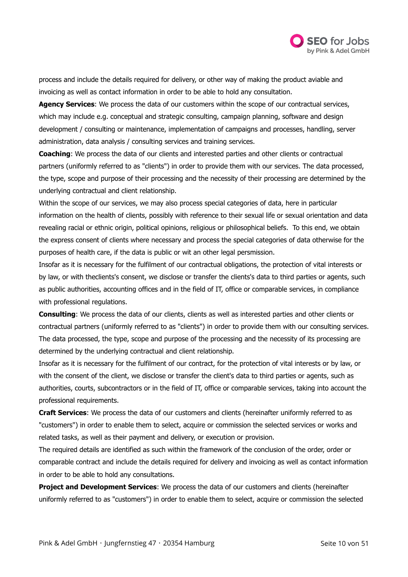

process and include the details required for delivery, or other way of making the product aviable and invoicing as well as contact information in order to be able to hold any consultation.

**Agency Services**: We process the data of our customers within the scope of our contractual services, which may include e.g. conceptual and strategic consulting, campaign planning, software and design development / consulting or maintenance, implementation of campaigns and processes, handling, server administration, data analysis / consulting services and training services.

**Coaching**: We process the data of our clients and interested parties and other clients or contractual partners (uniformly referred to as "clients") in order to provide them with our services. The data processed, the type, scope and purpose of their processing and the necessity of their processing are determined by the underlying contractual and client relationship.

Within the scope of our services, we may also process special categories of data, here in particular information on the health of clients, possibly with reference to their sexual life or sexual orientation and data revealing racial or ethnic origin, political opinions, religious or philosophical beliefs. To this end, we obtain the express consent of clients where necessary and process the special categories of data otherwise for the purposes of health care, if the data is public or wit an other legal persmission.

Insofar as it is necessary for the fulfilment of our contractual obligations, the protection of vital interests or by law, or with theclients's consent, we disclose or transfer the clients's data to third parties or agents, such as public authorities, accounting offices and in the field of IT, office or comparable services, in compliance with professional regulations.

**Consulting**: We process the data of our clients, clients as well as interested parties and other clients or contractual partners (uniformly referred to as "clients") in order to provide them with our consulting services. The data processed, the type, scope and purpose of the processing and the necessity of its processing are determined by the underlying contractual and client relationship.

Insofar as it is necessary for the fulfilment of our contract, for the protection of vital interests or by law, or with the consent of the client, we disclose or transfer the client's data to third parties or agents, such as authorities, courts, subcontractors or in the field of IT, office or comparable services, taking into account the professional requirements.

**Craft Services**: We process the data of our customers and clients (hereinafter uniformly referred to as "customers") in order to enable them to select, acquire or commission the selected services or works and related tasks, as well as their payment and delivery, or execution or provision.

The required details are identified as such within the framework of the conclusion of the order, order or comparable contract and include the details required for delivery and invoicing as well as contact information in order to be able to hold any consultations.

**Project and Development Services**: We process the data of our customers and clients (hereinafter uniformly referred to as "customers") in order to enable them to select, acquire or commission the selected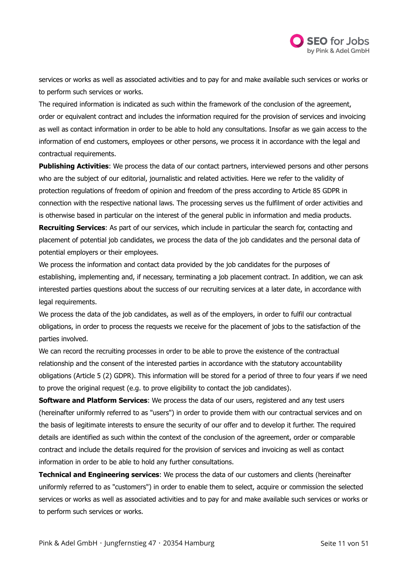

services or works as well as associated activities and to pay for and make available such services or works or to perform such services or works.

The required information is indicated as such within the framework of the conclusion of the agreement, order or equivalent contract and includes the information required for the provision of services and invoicing as well as contact information in order to be able to hold any consultations. Insofar as we gain access to the information of end customers, employees or other persons, we process it in accordance with the legal and contractual requirements.

**Publishing Activities**: We process the data of our contact partners, interviewed persons and other persons who are the subject of our editorial, journalistic and related activities. Here we refer to the validity of protection regulations of freedom of opinion and freedom of the press according to Article 85 GDPR in connection with the respective national laws. The processing serves us the fulfilment of order activities and is otherwise based in particular on the interest of the general public in information and media products. **Recruiting Services**: As part of our services, which include in particular the search for, contacting and placement of potential job candidates, we process the data of the job candidates and the personal data of potential employers or their employees.

We process the information and contact data provided by the job candidates for the purposes of establishing, implementing and, if necessary, terminating a job placement contract. In addition, we can ask interested parties questions about the success of our recruiting services at a later date, in accordance with legal requirements.

We process the data of the job candidates, as well as of the employers, in order to fulfil our contractual obligations, in order to process the requests we receive for the placement of jobs to the satisfaction of the parties involved.

We can record the recruiting processes in order to be able to prove the existence of the contractual relationship and the consent of the interested parties in accordance with the statutory accountability obligations (Article 5 (2) GDPR). This information will be stored for a period of three to four years if we need to prove the original request (e.g. to prove eligibility to contact the job candidates).

**Software and Platform Services**: We process the data of our users, registered and any test users (hereinafter uniformly referred to as "users") in order to provide them with our contractual services and on the basis of legitimate interests to ensure the security of our offer and to develop it further. The required details are identified as such within the context of the conclusion of the agreement, order or comparable contract and include the details required for the provision of services and invoicing as well as contact information in order to be able to hold any further consultations.

**Technical and Engineering services**: We process the data of our customers and clients (hereinafter uniformly referred to as "customers") in order to enable them to select, acquire or commission the selected services or works as well as associated activities and to pay for and make available such services or works or to perform such services or works.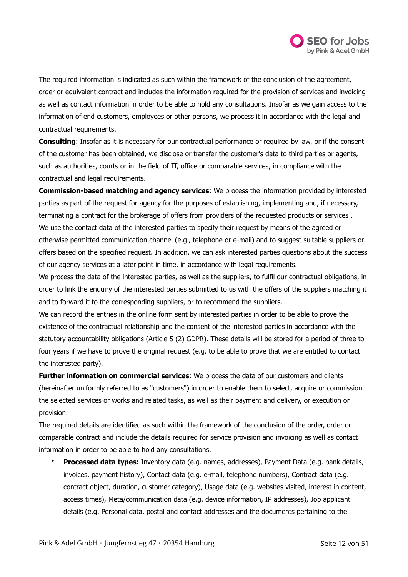

The required information is indicated as such within the framework of the conclusion of the agreement, order or equivalent contract and includes the information required for the provision of services and invoicing as well as contact information in order to be able to hold any consultations. Insofar as we gain access to the information of end customers, employees or other persons, we process it in accordance with the legal and contractual requirements.

**Consulting**: Insofar as it is necessary for our contractual performance or required by law, or if the consent of the customer has been obtained, we disclose or transfer the customer's data to third parties or agents, such as authorities, courts or in the field of IT, office or comparable services, in compliance with the contractual and legal requirements.

**Commission-based matching and agency services**: We process the information provided by interested parties as part of the request for agency for the purposes of establishing, implementing and, if necessary, terminating a contract for the brokerage of offers from providers of the requested products or services . We use the contact data of the interested parties to specify their request by means of the agreed or otherwise permitted communication channel (e.g., telephone or e-mail) and to suggest suitable suppliers or offers based on the specified request. In addition, we can ask interested parties questions about the success of our agency services at a later point in time, in accordance with legal requirements.

We process the data of the interested parties, as well as the suppliers, to fulfil our contractual obligations, in order to link the enquiry of the interested parties submitted to us with the offers of the suppliers matching it and to forward it to the corresponding suppliers, or to recommend the suppliers.

We can record the entries in the online form sent by interested parties in order to be able to prove the existence of the contractual relationship and the consent of the interested parties in accordance with the statutory accountability obligations (Article 5 (2) GDPR). These details will be stored for a period of three to four years if we have to prove the original request (e.g. to be able to prove that we are entitled to contact the interested party).

**Further information on commercial services**: We process the data of our customers and clients (hereinafter uniformly referred to as "customers") in order to enable them to select, acquire or commission the selected services or works and related tasks, as well as their payment and delivery, or execution or provision.

The required details are identified as such within the framework of the conclusion of the order, order or comparable contract and include the details required for service provision and invoicing as well as contact information in order to be able to hold any consultations.

• **Processed data types:** Inventory data (e.g. names, addresses), Payment Data (e.g. bank details, invoices, payment history), Contact data (e.g. e-mail, telephone numbers), Contract data (e.g. contract object, duration, customer category), Usage data (e.g. websites visited, interest in content, access times), Meta/communication data (e.g. device information, IP addresses), Job applicant details (e.g. Personal data, postal and contact addresses and the documents pertaining to the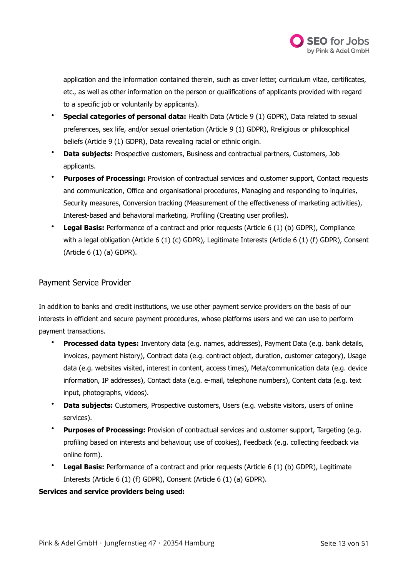

application and the information contained therein, such as cover letter, curriculum vitae, certificates, etc., as well as other information on the person or qualifications of applicants provided with regard to a specific job or voluntarily by applicants).

- **Special categories of personal data:** Health Data (Article 9 (1) GDPR), Data related to sexual preferences, sex life, and/or sexual orientation (Article 9 (1) GDPR), Rreligious or philosophical beliefs (Article 9 (1) GDPR), Data revealing racial or ethnic origin.
- **Data subjects:** Prospective customers, Business and contractual partners, Customers, Job applicants.
- **Purposes of Processing:** Provision of contractual services and customer support, Contact requests and communication, Office and organisational procedures, Managing and responding to inquiries, Security measures, Conversion tracking (Measurement of the effectiveness of marketing activities), Interest-based and behavioral marketing, Profiling (Creating user profiles).
- **Legal Basis:** Performance of a contract and prior requests (Article 6 (1) (b) GDPR), Compliance with a legal obligation (Article 6 (1) (c) GDPR), Legitimate Interests (Article 6 (1) (f) GDPR), Consent (Article 6 (1) (a) GDPR).

# Payment Service Provider

In addition to banks and credit institutions, we use other payment service providers on the basis of our interests in efficient and secure payment procedures, whose platforms users and we can use to perform payment transactions.

- **Processed data types:** Inventory data (e.g. names, addresses), Payment Data (e.g. bank details, invoices, payment history), Contract data (e.g. contract object, duration, customer category), Usage data (e.g. websites visited, interest in content, access times), Meta/communication data (e.g. device information, IP addresses), Contact data (e.g. e-mail, telephone numbers), Content data (e.g. text input, photographs, videos).
- **Data subjects:** Customers, Prospective customers, Users (e.g. website visitors, users of online services).
- **Purposes of Processing:** Provision of contractual services and customer support, Targeting (e.g. profiling based on interests and behaviour, use of cookies), Feedback (e.g. collecting feedback via online form).
- **Legal Basis:** Performance of a contract and prior requests (Article 6 (1) (b) GDPR), Legitimate Interests (Article 6 (1) (f) GDPR), Consent (Article 6 (1) (a) GDPR).

## **Services and service providers being used:**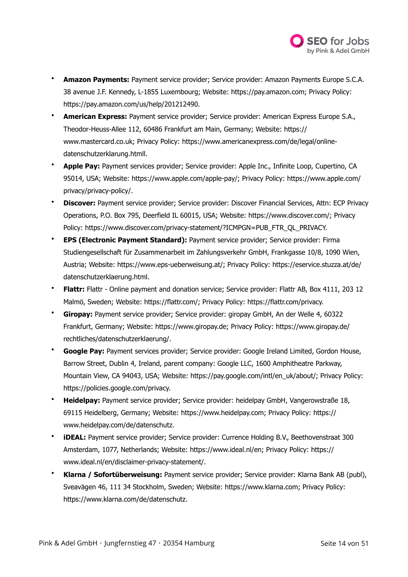

- **Amazon Payments:** Payment service provider; Service provider: Amazon Payments Europe S.C.A. 38 avenue J.F. Kennedy, L-1855 Luxembourg; Website:<https://pay.amazon.com>; Privacy Policy: [https://pay.amazon.com/us/help/201212490.](https://pay.amazon.com/us/help/201212490)
- **American Express:** Payment service provider; Service provider: American Express Europe S.A., Theodor-Heuss-Allee 112, 60486 Frankfurt am Main, Germany; Website: [https://](https://www.mastercard.co.uk) [www.mastercard.co.uk](https://www.mastercard.co.uk); Privacy Policy: [https://www.americanexpress.com/de/legal/online](https://www.americanexpress.com/de/legal/online-datenschutzerklarung.htmll)[datenschutzerklarung.htmll](https://www.americanexpress.com/de/legal/online-datenschutzerklarung.htmll).
- **Apple Pay:** Payment services provider; Service provider: Apple Inc., Infinite Loop, Cupertino, CA 95014, USA; Website: [https://www.apple.com/apple-pay/;](https://www.apple.com/apple-pay/) Privacy Policy: [https://www.apple.com/](https://www.apple.com/privacy/privacy-policy/) [privacy/privacy-policy/](https://www.apple.com/privacy/privacy-policy/).
- **Discover:** Payment service provider; Service provider: Discover Financial Services, Attn: ECP Privacy Operations, P.O. Box 795, Deerfield IL 60015, USA; Website: [https://www.discover.com/;](https://www.discover.com/) Privacy Policy: [https://www.discover.com/privacy-statement/?ICMPGN=PUB\\_FTR\\_QL\\_PRIVACY.](https://www.discover.com/privacy-statement/?ICMPGN=PUB_FTR_QL_PRIVACY)
- **EPS (Electronic Payment Standard):** Payment service provider; Service provider: Firma Studiengesellschaft für Zusammenarbeit im Zahlungsverkehr GmbH, Frankgasse 10/8, 1090 Wien, Austria; Website:<https://www.eps-ueberweisung.at/>; Privacy Policy: [https://eservice.stuzza.at/de/](https://eservice.stuzza.at/de/datenschutzerklaerung.html) [datenschutzerklaerung.html](https://eservice.stuzza.at/de/datenschutzerklaerung.html).
- **Flattr:** Flattr Online payment and donation service; Service provider: Flattr AB, Box 4111, 203 12 Malmö, Sweden; Website: [https://flattr.com/;](https://flattr.com/) Privacy Policy: [https://flattr.com/privacy.](https://flattr.com/privacy)
- **Giropay:** Payment service provider; Service provider: giropay GmbH, An der Welle 4, 60322 Frankfurt, Germany; Website: <https://www.giropay.de>; Privacy Policy: [https://www.giropay.de/](https://www.giropay.de/rechtliches/datenschutzerklaerung/) [rechtliches/datenschutzerklaerung/](https://www.giropay.de/rechtliches/datenschutzerklaerung/).
- **Google Pay:** Payment services provider; Service provider: Google Ireland Limited, Gordon House, Barrow Street, Dublin 4, Ireland, parent company: Google LLC, 1600 Amphitheatre Parkway, Mountain View, CA 94043, USA; Website: [https://pay.google.com/intl/en\\_uk/about/;](https://pay.google.com/intl/en_uk/about/) Privacy Policy: [https://policies.google.com/privacy.](https://policies.google.com/privacy)
- **Heidelpay:** Payment service provider; Service provider: heidelpay GmbH, Vangerowstraße 18, 69115 Heidelberg, Germany; Website:<https://www.heidelpay.com>; Privacy Policy: [https://](https://www.heidelpay.com/de/datenschutz) [www.heidelpay.com/de/datenschutz.](https://www.heidelpay.com/de/datenschutz)
- **iDEAL:** Payment service provider; Service provider: Currence Holding B.V., Beethovenstraat 300 Amsterdam, 1077, Netherlands; Website: [https://www.ideal.nl/en;](https://www.ideal.nl/en) Privacy Policy: [https://](https://www.ideal.nl/en/disclaimer-privacy-statement/) [www.ideal.nl/en/disclaimer-privacy-statement/.](https://www.ideal.nl/en/disclaimer-privacy-statement/)
- **Klarna / Sofortüberweisung:** Payment service provider; Service provider: Klarna Bank AB (publ), Sveavägen 46, 111 34 Stockholm, Sweden; Website: [https://www.klarna.com;](https://www.klarna.com) Privacy Policy: [https://www.klarna.com/de/datenschutz.](https://www.klarna.com/de/datenschutz)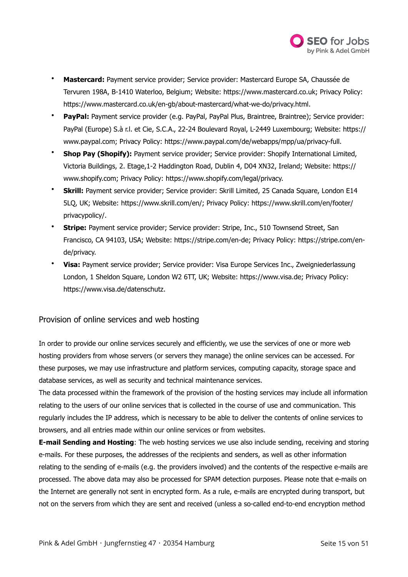

- **Mastercard:** Payment service provider; Service provider: Mastercard Europe SA, Chaussée de Tervuren 198A, B-1410 Waterloo, Belgium; Website:<https://www.mastercard.co.uk>; Privacy Policy: <https://www.mastercard.co.uk/en-gb/about-mastercard/what-we-do/privacy.html>.
- **PayPal:** Payment service provider (e.g. PayPal, PayPal Plus, Braintree, Braintree); Service provider: PayPal (Europe) S.à r.l. et Cie, S.C.A., 22-24 Boulevard Royal, L-2449 Luxembourg; Website: [https://](https://www.paypal.com) [www.paypal.com;](https://www.paypal.com) Privacy Policy: [https://www.paypal.com/de/webapps/mpp/ua/privacy-full.](https://www.paypal.com/de/webapps/mpp/ua/privacy-full)
- **Shop Pay (Shopify):** Payment service provider; Service provider: Shopify International Limited, Victoria Buildings, 2. Etage,1-2 Haddington Road, Dublin 4, D04 XN32, Ireland; Website: [https://](https://www.shopify.com) [www.shopify.com;](https://www.shopify.com) Privacy Policy: [https://www.shopify.com/legal/privacy.](https://www.shopify.com/legal/privacy)
- **Skrill:** Payment service provider; Service provider: Skrill Limited, 25 Canada Square, London E14 5LQ, UK; Website: [https://www.skrill.com/en/;](https://www.skrill.com/en/) Privacy Policy: [https://www.skrill.com/en/footer/](https://www.skrill.com/en/footer/privacypolicy/) [privacypolicy/.](https://www.skrill.com/en/footer/privacypolicy/)
- **Stripe:** Payment service provider; Service provider: Stripe, Inc., 510 Townsend Street, San Francisco, CA 94103, USA; Website: [https://stripe.com/en-de;](https://stripe.com/en-de) Privacy Policy: [https://stripe.com/en](https://stripe.com/en-de/privacy)[de/privacy.](https://stripe.com/en-de/privacy)
- **Visa:** Payment service provider; Service provider: Visa Europe Services Inc., Zweigniederlassung London, 1 Sheldon Square, London W2 6TT, UK; Website: [https://www.visa.de;](https://www.visa.de) Privacy Policy: [https://www.visa.de/datenschutz.](https://www.visa.de/datenschutz)

# Provision of online services and web hosting

In order to provide our online services securely and efficiently, we use the services of one or more web hosting providers from whose servers (or servers they manage) the online services can be accessed. For these purposes, we may use infrastructure and platform services, computing capacity, storage space and database services, as well as security and technical maintenance services.

The data processed within the framework of the provision of the hosting services may include all information relating to the users of our online services that is collected in the course of use and communication. This regularly includes the IP address, which is necessary to be able to deliver the contents of online services to browsers, and all entries made within our online services or from websites.

**E-mail Sending and Hosting**: The web hosting services we use also include sending, receiving and storing e-mails. For these purposes, the addresses of the recipients and senders, as well as other information relating to the sending of e-mails (e.g. the providers involved) and the contents of the respective e-mails are processed. The above data may also be processed for SPAM detection purposes. Please note that e-mails on the Internet are generally not sent in encrypted form. As a rule, e-mails are encrypted during transport, but not on the servers from which they are sent and received (unless a so-called end-to-end encryption method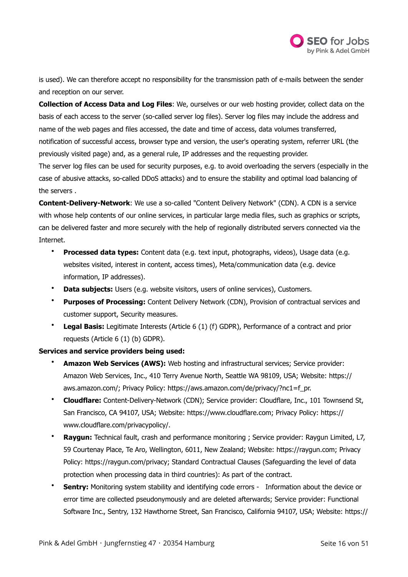

is used). We can therefore accept no responsibility for the transmission path of e-mails between the sender and reception on our server.

**Collection of Access Data and Log Files**: We, ourselves or our web hosting provider, collect data on the basis of each access to the server (so-called server log files). Server log files may include the address and name of the web pages and files accessed, the date and time of access, data volumes transferred, notification of successful access, browser type and version, the user's operating system, referrer URL (the previously visited page) and, as a general rule, IP addresses and the requesting provider.

The server log files can be used for security purposes, e.g. to avoid overloading the servers (especially in the case of abusive attacks, so-called DDoS attacks) and to ensure the stability and optimal load balancing of the servers .

**Content-Delivery-Network**: We use a so-called "Content Delivery Network" (CDN). A CDN is a service with whose help contents of our online services, in particular large media files, such as graphics or scripts, can be delivered faster and more securely with the help of regionally distributed servers connected via the Internet.

- **Processed data types:** Content data (e.g. text input, photographs, videos), Usage data (e.g. websites visited, interest in content, access times), Meta/communication data (e.g. device information, IP addresses).
- **Data subjects:** Users (e.g. website visitors, users of online services), Customers.
- **Purposes of Processing:** Content Delivery Network (CDN), Provision of contractual services and customer support, Security measures.
- **Legal Basis:** Legitimate Interests (Article 6 (1) (f) GDPR), Performance of a contract and prior requests (Article 6 (1) (b) GDPR).

## **Services and service providers being used:**

- **Amazon Web Services (AWS):** Web hosting and infrastructural services; Service provider: Amazon Web Services, Inc., 410 Terry Avenue North, Seattle WA 98109, USA; Website: [https://](https://aws.amazon.com/) [aws.amazon.com/](https://aws.amazon.com/); Privacy Policy: [https://aws.amazon.com/de/privacy/?nc1=f\\_pr.](https://aws.amazon.com/de/privacy/?nc1=f_pr)
- **Cloudflare:** Content-Delivery-Network (CDN); Service provider: Cloudflare, Inc., 101 Townsend St, San Francisco, CA 94107, USA; Website: [https://www.cloudflare.com;](https://www.cloudflare.com) Privacy Policy: [https://](https://www.cloudflare.com/privacypolicy/) [www.cloudflare.com/privacypolicy/.](https://www.cloudflare.com/privacypolicy/)
- **Raygun:** Technical fault, crash and performance monitoring ; Service provider: Raygun Limited, L7, 59 Courtenay Place, Te Aro, Wellington, 6011, New Zealand; Website: [https://raygun.com;](https://raygun.com) Privacy Policy:<https://raygun.com/privacy>; Standard Contractual Clauses (Safeguarding the level of data protection when processing data in third countries): As part of the contract.
- **Sentry:** Monitoring system stability and identifying code errors Information about the device or error time are collected pseudonymously and are deleted afterwards; Service provider: Functional Software Inc., Sentry, 132 Hawthorne Street, San Francisco, California 94107, USA; Website: [https://](https://sentry.io)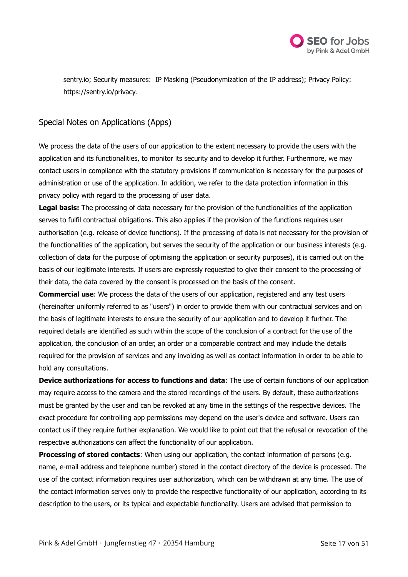

[sentry.io;](https://sentry.io) Security measures: IP Masking (Pseudonymization of the IP address); Privacy Policy: [https://sentry.io/privacy.](https://sentry.io/privacy)

# Special Notes on Applications (Apps)

We process the data of the users of our application to the extent necessary to provide the users with the application and its functionalities, to monitor its security and to develop it further. Furthermore, we may contact users in compliance with the statutory provisions if communication is necessary for the purposes of administration or use of the application. In addition, we refer to the data protection information in this privacy policy with regard to the processing of user data.

**Legal basis:** The processing of data necessary for the provision of the functionalities of the application serves to fulfil contractual obligations. This also applies if the provision of the functions requires user authorisation (e.g. release of device functions). If the processing of data is not necessary for the provision of the functionalities of the application, but serves the security of the application or our business interests (e.g. collection of data for the purpose of optimising the application or security purposes), it is carried out on the basis of our legitimate interests. If users are expressly requested to give their consent to the processing of their data, the data covered by the consent is processed on the basis of the consent.

**Commercial use**: We process the data of the users of our application, registered and any test users (hereinafter uniformly referred to as "users") in order to provide them with our contractual services and on the basis of legitimate interests to ensure the security of our application and to develop it further. The required details are identified as such within the scope of the conclusion of a contract for the use of the application, the conclusion of an order, an order or a comparable contract and may include the details required for the provision of services and any invoicing as well as contact information in order to be able to hold any consultations.

**Device authorizations for access to functions and data**: The use of certain functions of our application may require access to the camera and the stored recordings of the users. By default, these authorizations must be granted by the user and can be revoked at any time in the settings of the respective devices. The exact procedure for controlling app permissions may depend on the user's device and software. Users can contact us if they require further explanation. We would like to point out that the refusal or revocation of the respective authorizations can affect the functionality of our application.

**Processing of stored contacts:** When using our application, the contact information of persons (e.g. name, e-mail address and telephone number) stored in the contact directory of the device is processed. The use of the contact information requires user authorization, which can be withdrawn at any time. The use of the contact information serves only to provide the respective functionality of our application, according to its description to the users, or its typical and expectable functionality. Users are advised that permission to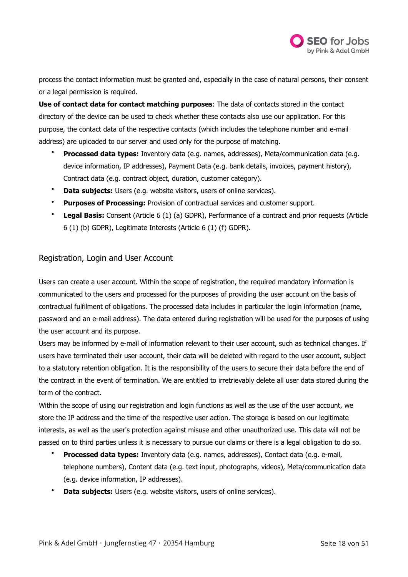

process the contact information must be granted and, especially in the case of natural persons, their consent or a legal permission is required.

**Use of contact data for contact matching purposes**: The data of contacts stored in the contact directory of the device can be used to check whether these contacts also use our application. For this purpose, the contact data of the respective contacts (which includes the telephone number and e-mail address) are uploaded to our server and used only for the purpose of matching.

- **Processed data types:** Inventory data (e.g. names, addresses), Meta/communication data (e.g. device information, IP addresses), Payment Data (e.g. bank details, invoices, payment history), Contract data (e.g. contract object, duration, customer category).
- **Data subjects:** Users (e.g. website visitors, users of online services).
- **Purposes of Processing:** Provision of contractual services and customer support.
- **Legal Basis:** Consent (Article 6 (1) (a) GDPR), Performance of a contract and prior requests (Article 6 (1) (b) GDPR), Legitimate Interests (Article 6 (1) (f) GDPR).

## Registration, Login and User Account

Users can create a user account. Within the scope of registration, the required mandatory information is communicated to the users and processed for the purposes of providing the user account on the basis of contractual fulfilment of obligations. The processed data includes in particular the login information (name, password and an e-mail address). The data entered during registration will be used for the purposes of using the user account and its purpose.

Users may be informed by e-mail of information relevant to their user account, such as technical changes. If users have terminated their user account, their data will be deleted with regard to the user account, subject to a statutory retention obligation. It is the responsibility of the users to secure their data before the end of the contract in the event of termination. We are entitled to irretrievably delete all user data stored during the term of the contract.

Within the scope of using our registration and login functions as well as the use of the user account, we store the IP address and the time of the respective user action. The storage is based on our legitimate interests, as well as the user's protection against misuse and other unauthorized use. This data will not be passed on to third parties unless it is necessary to pursue our claims or there is a legal obligation to do so.

- **Processed data types:** Inventory data (e.g. names, addresses), Contact data (e.g. e-mail, telephone numbers), Content data (e.g. text input, photographs, videos), Meta/communication data (e.g. device information, IP addresses).
- **Data subjects:** Users (e.g. website visitors, users of online services).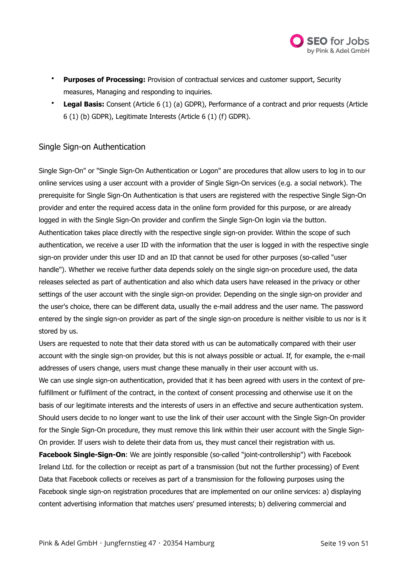

- **Purposes of Processing:** Provision of contractual services and customer support, Security measures, Managing and responding to inquiries.
- **Legal Basis:** Consent (Article 6 (1) (a) GDPR), Performance of a contract and prior requests (Article 6 (1) (b) GDPR), Legitimate Interests (Article 6 (1) (f) GDPR).

# Single Sign-on Authentication

Single Sign-On" or "Single Sign-On Authentication or Logon" are procedures that allow users to log in to our online services using a user account with a provider of Single Sign-On services (e.g. a social network). The prerequisite for Single Sign-On Authentication is that users are registered with the respective Single Sign-On provider and enter the required access data in the online form provided for this purpose, or are already logged in with the Single Sign-On provider and confirm the Single Sign-On login via the button. Authentication takes place directly with the respective single sign-on provider. Within the scope of such authentication, we receive a user ID with the information that the user is logged in with the respective single sign-on provider under this user ID and an ID that cannot be used for other purposes (so-called "user handle"). Whether we receive further data depends solely on the single sign-on procedure used, the data releases selected as part of authentication and also which data users have released in the privacy or other settings of the user account with the single sign-on provider. Depending on the single sign-on provider and the user's choice, there can be different data, usually the e-mail address and the user name. The password entered by the single sign-on provider as part of the single sign-on procedure is neither visible to us nor is it stored by us.

Users are requested to note that their data stored with us can be automatically compared with their user account with the single sign-on provider, but this is not always possible or actual. If, for example, the e-mail addresses of users change, users must change these manually in their user account with us. We can use single sign-on authentication, provided that it has been agreed with users in the context of prefulfillment or fulfilment of the contract, in the context of consent processing and otherwise use it on the basis of our legitimate interests and the interests of users in an effective and secure authentication system. Should users decide to no longer want to use the link of their user account with the Single Sign-On provider for the Single Sign-On procedure, they must remove this link within their user account with the Single Sign-On provider. If users wish to delete their data from us, they must cancel their registration with us.

**Facebook Single-Sign-On**: We are jointly responsible (so-called "joint-controllership") with Facebook Ireland Ltd. for the collection or receipt as part of a transmission (but not the further processing) of Event Data that Facebook collects or receives as part of a transmission for the following purposes using the Facebook single sign-on registration procedures that are implemented on our online services: a) displaying content advertising information that matches users' presumed interests; b) delivering commercial and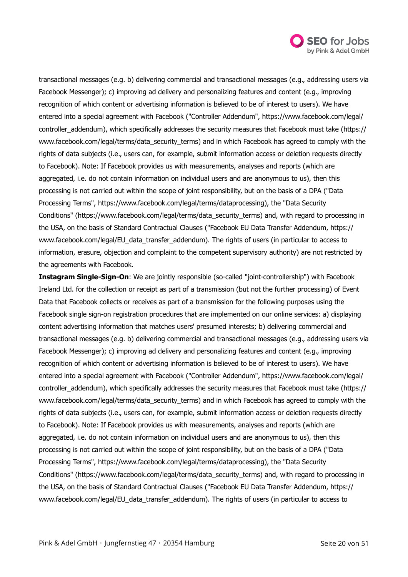

transactional messages (e.g. b) delivering commercial and transactional messages (e.g., addressing users via Facebook Messenger); c) improving ad delivery and personalizing features and content (e.g., improving recognition of which content or advertising information is believed to be of interest to users). We have entered into a special agreement with Facebook ("Controller Addendum", [https://www.facebook.com/legal/](https://www.facebook.com/legal/controller_addendum) [controller\\_addendum](https://www.facebook.com/legal/controller_addendum)), which specifically addresses the security measures that Facebook must take [\(https://](https://www.facebook.com/legal/terms/data_security_terms) [www.facebook.com/legal/terms/data\\_security\\_terms](https://www.facebook.com/legal/terms/data_security_terms)) and in which Facebook has agreed to comply with the rights of data subjects (i.e., users can, for example, submit information access or deletion requests directly to Facebook). Note: If Facebook provides us with measurements, analyses and reports (which are aggregated, i.e. do not contain information on individual users and are anonymous to us), then this processing is not carried out within the scope of joint responsibility, but on the basis of a DPA ("Data Processing Terms", [https://www.facebook.com/legal/terms/dataprocessing\)](https://www.facebook.com/legal/terms/dataprocessing), the "Data Security Conditions" ([https://www.facebook.com/legal/terms/data\\_security\\_terms\)](https://www.facebook.com/legal/terms/data_security_terms) and, with regard to processing in the USA, on the basis of Standard Contractual Clauses ("Facebook EU Data Transfer Addendum, [https://](https://www.facebook.com/legal/EU_data_transfer_addendum) [www.facebook.com/legal/EU\\_data\\_transfer\\_addendum\)](https://www.facebook.com/legal/EU_data_transfer_addendum). The rights of users (in particular to access to information, erasure, objection and complaint to the competent supervisory authority) are not restricted by the agreements with Facebook.

**Instagram Single-Sign-On:** We are jointly responsible (so-called "joint-controllership") with Facebook Ireland Ltd. for the collection or receipt as part of a transmission (but not the further processing) of Event Data that Facebook collects or receives as part of a transmission for the following purposes using the Facebook single sign-on registration procedures that are implemented on our online services: a) displaying content advertising information that matches users' presumed interests; b) delivering commercial and transactional messages (e.g. b) delivering commercial and transactional messages (e.g., addressing users via Facebook Messenger); c) improving ad delivery and personalizing features and content (e.g., improving recognition of which content or advertising information is believed to be of interest to users). We have entered into a special agreement with Facebook ("Controller Addendum", [https://www.facebook.com/legal/](https://www.facebook.com/legal/controller_addendum) [controller\\_addendum](https://www.facebook.com/legal/controller_addendum)), which specifically addresses the security measures that Facebook must take [\(https://](https://www.facebook.com/legal/terms/data_security_terms) [www.facebook.com/legal/terms/data\\_security\\_terms](https://www.facebook.com/legal/terms/data_security_terms)) and in which Facebook has agreed to comply with the rights of data subjects (i.e., users can, for example, submit information access or deletion requests directly to Facebook). Note: If Facebook provides us with measurements, analyses and reports (which are aggregated, i.e. do not contain information on individual users and are anonymous to us), then this processing is not carried out within the scope of joint responsibility, but on the basis of a DPA ("Data Processing Terms", [https://www.facebook.com/legal/terms/dataprocessing\)](https://www.facebook.com/legal/terms/dataprocessing), the "Data Security Conditions" ([https://www.facebook.com/legal/terms/data\\_security\\_terms\)](https://www.facebook.com/legal/terms/data_security_terms) and, with regard to processing in the USA, on the basis of Standard Contractual Clauses ("Facebook EU Data Transfer Addendum, [https://](https://www.facebook.com/legal/EU_data_transfer_addendum) [www.facebook.com/legal/EU\\_data\\_transfer\\_addendum\)](https://www.facebook.com/legal/EU_data_transfer_addendum). The rights of users (in particular to access to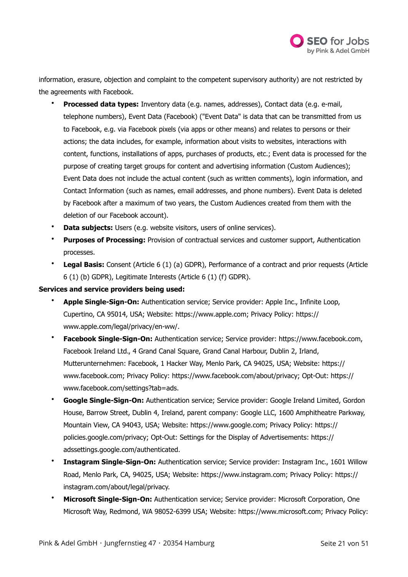

information, erasure, objection and complaint to the competent supervisory authority) are not restricted by the agreements with Facebook.

- **Processed data types:** Inventory data (e.g. names, addresses), Contact data (e.g. e-mail, telephone numbers), Event Data (Facebook) ("Event Data" is data that can be transmitted from us to Facebook, e.g. via Facebook pixels (via apps or other means) and relates to persons or their actions; the data includes, for example, information about visits to websites, interactions with content, functions, installations of apps, purchases of products, etc.; Event data is processed for the purpose of creating target groups for content and advertising information (Custom Audiences); Event Data does not include the actual content (such as written comments), login information, and Contact Information (such as names, email addresses, and phone numbers). Event Data is deleted by Facebook after a maximum of two years, the Custom Audiences created from them with the deletion of our Facebook account).
- **Data subjects:** Users (e.g. website visitors, users of online services).
- **Purposes of Processing:** Provision of contractual services and customer support, Authentication processes.
- **Legal Basis:** Consent (Article 6 (1) (a) GDPR), Performance of a contract and prior requests (Article 6 (1) (b) GDPR), Legitimate Interests (Article 6 (1) (f) GDPR).

## **Services and service providers being used:**

- **Apple Single-Sign-On:** Authentication service; Service provider: Apple Inc., Infinite Loop, Cupertino, CA 95014, USA; Website: [https://www.apple.com;](https://www.apple.com) Privacy Policy: [https://](https://www.apple.com/legal/privacy/en-ww/) [www.apple.com/legal/privacy/en-ww/](https://www.apple.com/legal/privacy/en-ww/).
- **Facebook Single-Sign-On:** Authentication service; Service provider:<https://www.facebook.com>, Facebook Ireland Ltd., 4 Grand Canal Square, Grand Canal Harbour, Dublin 2, Irland, Mutterunternehmen: Facebook, 1 Hacker Way, Menlo Park, CA 94025, USA; Website: [https://](https://www.facebook.com) [www.facebook.com;](https://www.facebook.com) Privacy Policy:<https://www.facebook.com/about/privacy>; Opt-Out: [https://](https://www.facebook.com/settings?tab=ads) [www.facebook.com/settings?tab=ads](https://www.facebook.com/settings?tab=ads).
- **Google Single-Sign-On:** Authentication service; Service provider: Google Ireland Limited, Gordon House, Barrow Street, Dublin 4, Ireland, parent company: Google LLC, 1600 Amphitheatre Parkway, Mountain View, CA 94043, USA; Website:<https://www.google.com>; Privacy Policy: [https://](https://policies.google.com/privacy) [policies.google.com/privacy;](https://policies.google.com/privacy) Opt-Out: Settings for the Display of Advertisements: [https://](https://adssettings.google.com/authenticated) [adssettings.google.com/authenticated](https://adssettings.google.com/authenticated).
- **Instagram Single-Sign-On:** Authentication service; Service provider: Instagram Inc., 1601 Willow Road, Menlo Park, CA, 94025, USA; Website: [https://www.instagram.com;](https://www.instagram.com) Privacy Policy: [https://](https://instagram.com/about/legal/privacy) [instagram.com/about/legal/privacy.](https://instagram.com/about/legal/privacy)
- **Microsoft Single-Sign-On:** Authentication service; Service provider: Microsoft Corporation, One Microsoft Way, Redmond, WA 98052-6399 USA; Website: <https://www.microsoft.com>; Privacy Policy: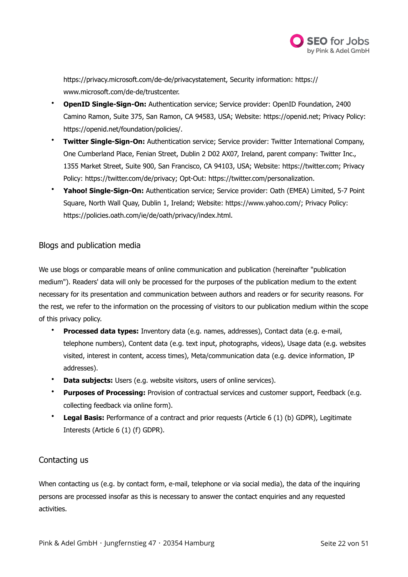

[https://privacy.microsoft.com/de-de/privacystatement,](https://privacy.microsoft.com/de-de/privacystatement) Security information: [https://](https://www.microsoft.com/de-de/trustcenter) [www.microsoft.com/de-de/trustcenter.](https://www.microsoft.com/de-de/trustcenter)

- **OpenID Single-Sign-On:** Authentication service; Service provider: OpenID Foundation, 2400 Camino Ramon, Suite 375, San Ramon, CA 94583, USA; Website: [https://openid.net;](https://openid.net) Privacy Policy: [https://openid.net/foundation/policies/.](https://openid.net/foundation/policies/)
- **Twitter Single-Sign-On:** Authentication service; Service provider: Twitter International Company, One Cumberland Place, Fenian Street, Dublin 2 D02 AX07, Ireland, parent company: Twitter Inc., 1355 Market Street, Suite 900, San Francisco, CA 94103, USA; Website:<https://twitter.com>; Privacy Policy: [https://twitter.com/de/privacy;](https://twitter.com/de/privacy) Opt-Out:<https://twitter.com/personalization>.
- **Yahoo! Single-Sign-On:** Authentication service; Service provider: Oath (EMEA) Limited, 5-7 Point Square, North Wall Quay, Dublin 1, Ireland; Website:<https://www.yahoo.com/>; Privacy Policy: [https://policies.oath.com/ie/de/oath/privacy/index.html.](https://policies.oath.com/ie/de/oath/privacy/index.html)

# Blogs and publication media

We use blogs or comparable means of online communication and publication (hereinafter "publication medium"). Readers' data will only be processed for the purposes of the publication medium to the extent necessary for its presentation and communication between authors and readers or for security reasons. For the rest, we refer to the information on the processing of visitors to our publication medium within the scope of this privacy policy.

- **Processed data types:** Inventory data (e.g. names, addresses), Contact data (e.g. e-mail, telephone numbers), Content data (e.g. text input, photographs, videos), Usage data (e.g. websites visited, interest in content, access times), Meta/communication data (e.g. device information, IP addresses).
- **Data subjects:** Users (e.g. website visitors, users of online services).
- **Purposes of Processing:** Provision of contractual services and customer support, Feedback (e.g. collecting feedback via online form).
- **Legal Basis:** Performance of a contract and prior requests (Article 6 (1) (b) GDPR), Legitimate Interests (Article 6 (1) (f) GDPR).

# Contacting us

When contacting us (e.g. by contact form, e-mail, telephone or via social media), the data of the inquiring persons are processed insofar as this is necessary to answer the contact enquiries and any requested activities.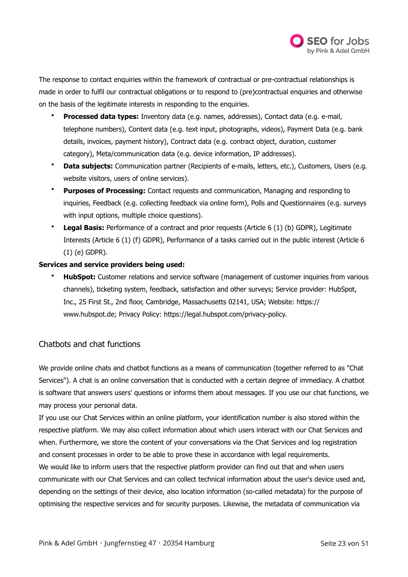

The response to contact enquiries within the framework of contractual or pre-contractual relationships is made in order to fulfil our contractual obligations or to respond to (pre)contractual enquiries and otherwise on the basis of the legitimate interests in responding to the enquiries.

- **Processed data types:** Inventory data (e.g. names, addresses), Contact data (e.g. e-mail, telephone numbers), Content data (e.g. text input, photographs, videos), Payment Data (e.g. bank details, invoices, payment history), Contract data (e.g. contract object, duration, customer category), Meta/communication data (e.g. device information, IP addresses).
- **Data subjects:** Communication partner (Recipients of e-mails, letters, etc.), Customers, Users (e.g. website visitors, users of online services).
- **Purposes of Processing:** Contact requests and communication, Managing and responding to inquiries, Feedback (e.g. collecting feedback via online form), Polls and Questionnaires (e.g. surveys with input options, multiple choice questions).
- **Legal Basis:** Performance of a contract and prior requests (Article 6 (1) (b) GDPR), Legitimate Interests (Article 6 (1) (f) GDPR), Performance of a tasks carried out in the public interest (Article 6 (1) (e) GDPR).

## **Services and service providers being used:**

• **HubSpot:** Customer relations and service software (management of customer inquiries from various channels), ticketing system, feedback, satisfaction and other surveys; Service provider: HubSpot, Inc., 25 First St., 2nd floor, Cambridge, Massachusetts 02141, USA; Website: [https://](https://www.hubspot.de) [www.hubspot.de;](https://www.hubspot.de) Privacy Policy: [https://legal.hubspot.com/privacy-policy.](https://legal.hubspot.com/privacy-policy)

# Chatbots and chat functions

We provide online chats and chatbot functions as a means of communication (together referred to as "Chat Services"). A chat is an online conversation that is conducted with a certain degree of immediacy. A chatbot is software that answers users' questions or informs them about messages. If you use our chat functions, we may process your personal data.

If you use our Chat Services within an online platform, your identification number is also stored within the respective platform. We may also collect information about which users interact with our Chat Services and when. Furthermore, we store the content of your conversations via the Chat Services and log registration and consent processes in order to be able to prove these in accordance with legal requirements. We would like to inform users that the respective platform provider can find out that and when users communicate with our Chat Services and can collect technical information about the user's device used and, depending on the settings of their device, also location information (so-called metadata) for the purpose of optimising the respective services and for security purposes. Likewise, the metadata of communication via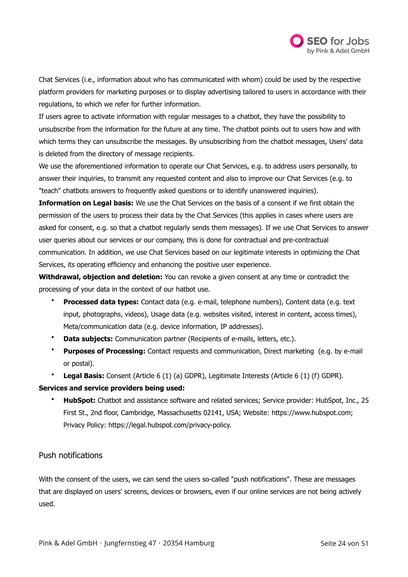

Chat Services (i.e., information about who has communicated with whom) could be used by the respective platform providers for marketing purposes or to display advertising tailored to users in accordance with their regulations, to which we refer for further information.

If users agree to activate information with regular messages to a chatbot, they have the possibility to unsubscribe from the information for the future at any time. The chatbot points out to users how and with which terms they can unsubscribe the messages. By unsubscribing from the chatbot messages, Users' data is deleted from the directory of message recipients.

We use the aforementioned information to operate our Chat Services, e.g. to address users personally, to answer their inquiries, to transmit any requested content and also to improve our Chat Services (e.g. to "teach" chatbots answers to frequently asked questions or to identify unanswered inquiries).

**Information on Legal basis:** We use the Chat Services on the basis of a consent if we first obtain the permission of the users to process their data by the Chat Services (this applies in cases where users are asked for consent, e.g. so that a chatbot regularly sends them messages). If we use Chat Services to answer user queries about our services or our company, this is done for contractual and pre-contractual communication. In addition, we use Chat Services based on our legitimate interests in optimizing the Chat Services, its operating efficiency and enhancing the positive user experience.

**Withdrawal, objection and deletion:** You can revoke a given consent at any time or contradict the processing of your data in the context of our hatbot use.

- **Processed data types:** Contact data (e.g. e-mail, telephone numbers), Content data (e.g. text input, photographs, videos), Usage data (e.g. websites visited, interest in content, access times), Meta/communication data (e.g. device information, IP addresses).
- **Data subjects:** Communication partner (Recipients of e-mails, letters, etc.).
- **Purposes of Processing:** Contact requests and communication, Direct marketing (e.g. by e-mail or postal).
- **Legal Basis:** Consent (Article 6 (1) (a) GDPR), Legitimate Interests (Article 6 (1) (f) GDPR).

## **Services and service providers being used:**

• **HubSpot:** Chatbot and assistance software and related services; Service provider: HubSpot, Inc., 25 First St., 2nd floor, Cambridge, Massachusetts 02141, USA; Website: [https://www.hubspot.com;](https://www.hubspot.com) Privacy Policy: [https://legal.hubspot.com/privacy-policy.](https://legal.hubspot.com/privacy-policy)

# Push notifications

With the consent of the users, we can send the users so-called "push notifications". These are messages that are displayed on users' screens, devices or browsers, even if our online services are not being actively used.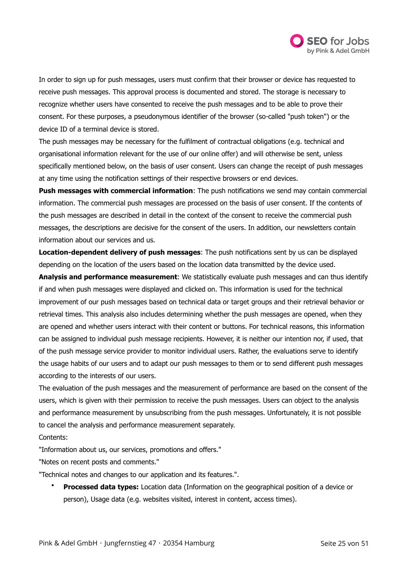

In order to sign up for push messages, users must confirm that their browser or device has requested to receive push messages. This approval process is documented and stored. The storage is necessary to recognize whether users have consented to receive the push messages and to be able to prove their consent. For these purposes, a pseudonymous identifier of the browser (so-called "push token") or the device ID of a terminal device is stored.

The push messages may be necessary for the fulfilment of contractual obligations (e.g. technical and organisational information relevant for the use of our online offer) and will otherwise be sent, unless specifically mentioned below, on the basis of user consent. Users can change the receipt of push messages at any time using the notification settings of their respective browsers or end devices.

**Push messages with commercial information**: The push notifications we send may contain commercial information. The commercial push messages are processed on the basis of user consent. If the contents of the push messages are described in detail in the context of the consent to receive the commercial push messages, the descriptions are decisive for the consent of the users. In addition, our newsletters contain information about our services and us.

**Location-dependent delivery of push messages**: The push notifications sent by us can be displayed depending on the location of the users based on the location data transmitted by the device used.

**Analysis and performance measurement**: We statistically evaluate push messages and can thus identify if and when push messages were displayed and clicked on. This information is used for the technical improvement of our push messages based on technical data or target groups and their retrieval behavior or retrieval times. This analysis also includes determining whether the push messages are opened, when they are opened and whether users interact with their content or buttons. For technical reasons, this information can be assigned to individual push message recipients. However, it is neither our intention nor, if used, that of the push message service provider to monitor individual users. Rather, the evaluations serve to identify the usage habits of our users and to adapt our push messages to them or to send different push messages according to the interests of our users.

The evaluation of the push messages and the measurement of performance are based on the consent of the users, which is given with their permission to receive the push messages. Users can object to the analysis and performance measurement by unsubscribing from the push messages. Unfortunately, it is not possible to cancel the analysis and performance measurement separately.

Contents:

"Information about us, our services, promotions and offers."

"Notes on recent posts and comments."

"Technical notes and changes to our application and its features.".

• **Processed data types:** Location data (Information on the geographical position of a device or person), Usage data (e.g. websites visited, interest in content, access times).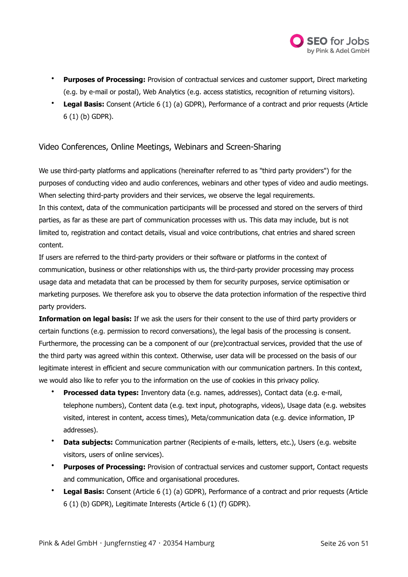

- **Purposes of Processing:** Provision of contractual services and customer support, Direct marketing (e.g. by e-mail or postal), Web Analytics (e.g. access statistics, recognition of returning visitors).
- **Legal Basis:** Consent (Article 6 (1) (a) GDPR), Performance of a contract and prior requests (Article 6 (1) (b) GDPR).

# Video Conferences, Online Meetings, Webinars and Screen-Sharing

We use third-party platforms and applications (hereinafter referred to as "third party providers") for the purposes of conducting video and audio conferences, webinars and other types of video and audio meetings. When selecting third-party providers and their services, we observe the legal requirements. In this context, data of the communication participants will be processed and stored on the servers of third parties, as far as these are part of communication processes with us. This data may include, but is not limited to, registration and contact details, visual and voice contributions, chat entries and shared screen content.

If users are referred to the third-party providers or their software or platforms in the context of communication, business or other relationships with us, the third-party provider processing may process usage data and metadata that can be processed by them for security purposes, service optimisation or marketing purposes. We therefore ask you to observe the data protection information of the respective third party providers.

**Information on legal basis:** If we ask the users for their consent to the use of third party providers or certain functions (e.g. permission to record conversations), the legal basis of the processing is consent. Furthermore, the processing can be a component of our (pre)contractual services, provided that the use of the third party was agreed within this context. Otherwise, user data will be processed on the basis of our legitimate interest in efficient and secure communication with our communication partners. In this context, we would also like to refer you to the information on the use of cookies in this privacy policy.

- **Processed data types:** Inventory data (e.g. names, addresses), Contact data (e.g. e-mail, telephone numbers), Content data (e.g. text input, photographs, videos), Usage data (e.g. websites visited, interest in content, access times), Meta/communication data (e.g. device information, IP addresses).
- **Data subjects:** Communication partner (Recipients of e-mails, letters, etc.), Users (e.g. website visitors, users of online services).
- **Purposes of Processing:** Provision of contractual services and customer support, Contact requests and communication, Office and organisational procedures.
- **Legal Basis:** Consent (Article 6 (1) (a) GDPR), Performance of a contract and prior requests (Article 6 (1) (b) GDPR), Legitimate Interests (Article 6 (1) (f) GDPR).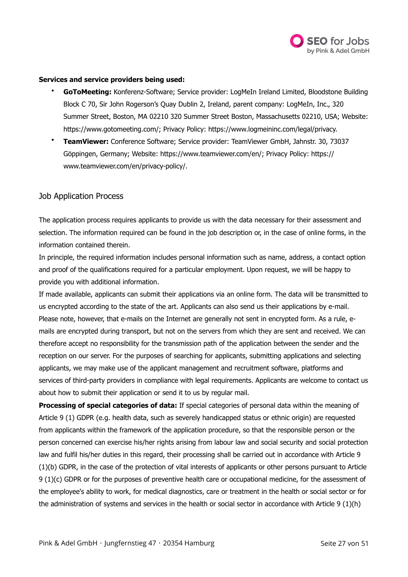

## **Services and service providers being used:**

- **GoToMeeting:** Konferenz-Software; Service provider: LogMeIn Ireland Limited, Bloodstone Building Block C 70, Sir John Rogerson's Quay Dublin 2, Ireland, parent company: LogMeIn, Inc., 320 Summer Street, Boston, MA 02210 320 Summer Street Boston, Massachusetts 02210, USA; Website: [https://www.gotomeeting.com/;](https://www.gotomeeting.com/) Privacy Policy: [https://www.logmeininc.com/legal/privacy.](https://www.logmeininc.com/legal/privacy)
- **TeamViewer:** Conference Software; Service provider: TeamViewer GmbH, Jahnstr. 30, 73037 Göppingen, Germany; Website: [https://www.teamviewer.com/en/;](https://www.teamviewer.com/en/) Privacy Policy: [https://](https://www.teamviewer.com/en/privacy-policy/) [www.teamviewer.com/en/privacy-policy/.](https://www.teamviewer.com/en/privacy-policy/)

## Job Application Process

The application process requires applicants to provide us with the data necessary for their assessment and selection. The information required can be found in the job description or, in the case of online forms, in the information contained therein.

In principle, the required information includes personal information such as name, address, a contact option and proof of the qualifications required for a particular employment. Upon request, we will be happy to provide you with additional information.

If made available, applicants can submit their applications via an online form. The data will be transmitted to us encrypted according to the state of the art. Applicants can also send us their applications by e-mail. Please note, however, that e-mails on the Internet are generally not sent in encrypted form. As a rule, emails are encrypted during transport, but not on the servers from which they are sent and received. We can therefore accept no responsibility for the transmission path of the application between the sender and the reception on our server. For the purposes of searching for applicants, submitting applications and selecting applicants, we may make use of the applicant management and recruitment software, platforms and services of third-party providers in compliance with legal requirements. Applicants are welcome to contact us about how to submit their application or send it to us by regular mail.

**Processing of special categories of data:** If special categories of personal data within the meaning of Article 9 (1) GDPR (e.g. health data, such as severely handicapped status or ethnic origin) are requested from applicants within the framework of the application procedure, so that the responsible person or the person concerned can exercise his/her rights arising from labour law and social security and social protection law and fulfil his/her duties in this regard, their processing shall be carried out in accordance with Article 9 (1)(b) GDPR, in the case of the protection of vital interests of applicants or other persons pursuant to Article 9 (1)(c) GDPR or for the purposes of preventive health care or occupational medicine, for the assessment of the employee's ability to work, for medical diagnostics, care or treatment in the health or social sector or for the administration of systems and services in the health or social sector in accordance with Article 9 (1)(h)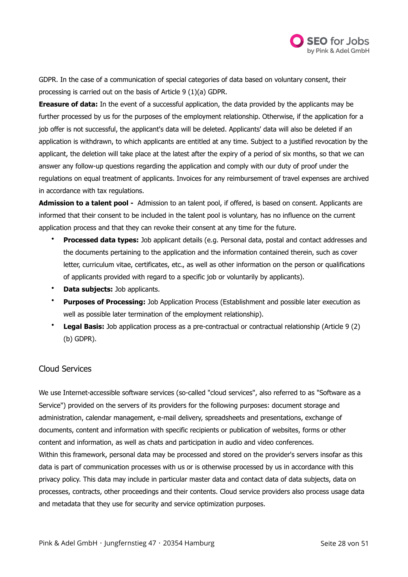

GDPR. In the case of a communication of special categories of data based on voluntary consent, their processing is carried out on the basis of Article 9 (1)(a) GDPR.

**Ereasure of data:** In the event of a successful application, the data provided by the applicants may be further processed by us for the purposes of the employment relationship. Otherwise, if the application for a job offer is not successful, the applicant's data will be deleted. Applicants' data will also be deleted if an application is withdrawn, to which applicants are entitled at any time. Subject to a justified revocation by the applicant, the deletion will take place at the latest after the expiry of a period of six months, so that we can answer any follow-up questions regarding the application and comply with our duty of proof under the regulations on equal treatment of applicants. Invoices for any reimbursement of travel expenses are archived in accordance with tax regulations.

**Admission to a talent pool -** Admission to an talent pool, if offered, is based on consent. Applicants are informed that their consent to be included in the talent pool is voluntary, has no influence on the current application process and that they can revoke their consent at any time for the future.

- **Processed data types:** Job applicant details (e.g. Personal data, postal and contact addresses and the documents pertaining to the application and the information contained therein, such as cover letter, curriculum vitae, certificates, etc., as well as other information on the person or qualifications of applicants provided with regard to a specific job or voluntarily by applicants).
- **Data subjects:** Job applicants.
- **Purposes of Processing:** Job Application Process (Establishment and possible later execution as well as possible later termination of the employment relationship).
- **Legal Basis:** Job application process as a pre-contractual or contractual relationship (Article 9 (2) (b) GDPR).

# Cloud Services

We use Internet-accessible software services (so-called "cloud services", also referred to as "Software as a Service") provided on the servers of its providers for the following purposes: document storage and administration, calendar management, e-mail delivery, spreadsheets and presentations, exchange of documents, content and information with specific recipients or publication of websites, forms or other content and information, as well as chats and participation in audio and video conferences. Within this framework, personal data may be processed and stored on the provider's servers insofar as this data is part of communication processes with us or is otherwise processed by us in accordance with this privacy policy. This data may include in particular master data and contact data of data subjects, data on processes, contracts, other proceedings and their contents. Cloud service providers also process usage data and metadata that they use for security and service optimization purposes.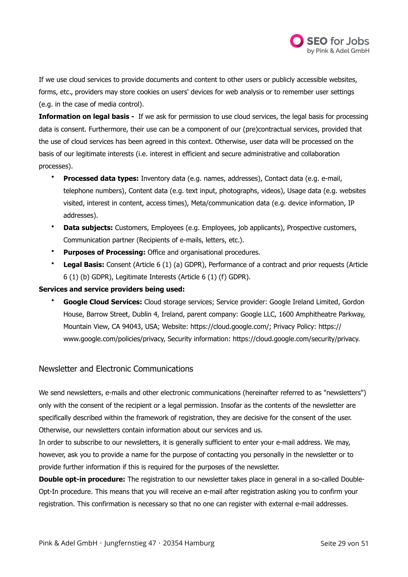

If we use cloud services to provide documents and content to other users or publicly accessible websites, forms, etc., providers may store cookies on users' devices for web analysis or to remember user settings (e.g. in the case of media control).

**Information on legal basis -** If we ask for permission to use cloud services, the legal basis for processing data is consent. Furthermore, their use can be a component of our (pre)contractual services, provided that the use of cloud services has been agreed in this context. Otherwise, user data will be processed on the basis of our legitimate interests (i.e. interest in efficient and secure administrative and collaboration processes).

- **Processed data types:** Inventory data (e.g. names, addresses), Contact data (e.g. e-mail, telephone numbers), Content data (e.g. text input, photographs, videos), Usage data (e.g. websites visited, interest in content, access times), Meta/communication data (e.g. device information, IP addresses).
- **Data subjects:** Customers, Employees (e.g. Employees, job applicants), Prospective customers, Communication partner (Recipients of e-mails, letters, etc.).
- **Purposes of Processing:** Office and organisational procedures.
- **Legal Basis:** Consent (Article 6 (1) (a) GDPR), Performance of a contract and prior requests (Article 6 (1) (b) GDPR), Legitimate Interests (Article 6 (1) (f) GDPR).

## **Services and service providers being used:**

• **Google Cloud Services:** Cloud storage services; Service provider: Google Ireland Limited, Gordon House, Barrow Street, Dublin 4, Ireland, parent company: Google LLC, 1600 Amphitheatre Parkway, Mountain View, CA 94043, USA; Website: [https://cloud.google.com/;](https://cloud.google.com/) Privacy Policy: [https://](https://www.google.com/policies/privacy) [www.google.com/policies/privacy,](https://www.google.com/policies/privacy) Security information: [https://cloud.google.com/security/privacy.](https://cloud.google.com/security/privacy)

## Newsletter and Electronic Communications

We send newsletters, e-mails and other electronic communications (hereinafter referred to as "newsletters") only with the consent of the recipient or a legal permission. Insofar as the contents of the newsletter are specifically described within the framework of registration, they are decisive for the consent of the user. Otherwise, our newsletters contain information about our services and us.

In order to subscribe to our newsletters, it is generally sufficient to enter your e-mail address. We may, however, ask you to provide a name for the purpose of contacting you personally in the newsletter or to provide further information if this is required for the purposes of the newsletter.

**Double opt-in procedure:** The registration to our newsletter takes place in general in a so-called Double-Opt-In procedure. This means that you will receive an e-mail after registration asking you to confirm your registration. This confirmation is necessary so that no one can register with external e-mail addresses.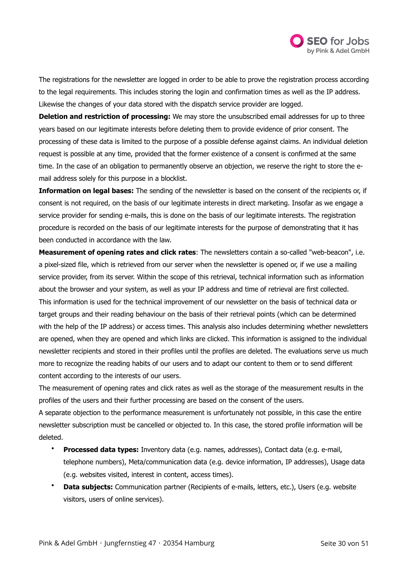

The registrations for the newsletter are logged in order to be able to prove the registration process according to the legal requirements. This includes storing the login and confirmation times as well as the IP address. Likewise the changes of your data stored with the dispatch service provider are logged.

**Deletion and restriction of processing:** We may store the unsubscribed email addresses for up to three years based on our legitimate interests before deleting them to provide evidence of prior consent. The processing of these data is limited to the purpose of a possible defense against claims. An individual deletion request is possible at any time, provided that the former existence of a consent is confirmed at the same time. In the case of an obligation to permanently observe an objection, we reserve the right to store the email address solely for this purpose in a blocklist.

**Information on legal bases:** The sending of the newsletter is based on the consent of the recipients or, if consent is not required, on the basis of our legitimate interests in direct marketing. Insofar as we engage a service provider for sending e-mails, this is done on the basis of our legitimate interests. The registration procedure is recorded on the basis of our legitimate interests for the purpose of demonstrating that it has been conducted in accordance with the law.

**Measurement of opening rates and click rates**: The newsletters contain a so-called "web-beacon", i.e. a pixel-sized file, which is retrieved from our server when the newsletter is opened or, if we use a mailing service provider, from its server. Within the scope of this retrieval, technical information such as information about the browser and your system, as well as your IP address and time of retrieval are first collected. This information is used for the technical improvement of our newsletter on the basis of technical data or target groups and their reading behaviour on the basis of their retrieval points (which can be determined with the help of the IP address) or access times. This analysis also includes determining whether newsletters are opened, when they are opened and which links are clicked. This information is assigned to the individual newsletter recipients and stored in their profiles until the profiles are deleted. The evaluations serve us much more to recognize the reading habits of our users and to adapt our content to them or to send different content according to the interests of our users.

The measurement of opening rates and click rates as well as the storage of the measurement results in the profiles of the users and their further processing are based on the consent of the users.

A separate objection to the performance measurement is unfortunately not possible, in this case the entire newsletter subscription must be cancelled or objected to. In this case, the stored profile information will be deleted.

- **Processed data types:** Inventory data (e.g. names, addresses), Contact data (e.g. e-mail, telephone numbers), Meta/communication data (e.g. device information, IP addresses), Usage data (e.g. websites visited, interest in content, access times).
- **Data subjects:** Communication partner (Recipients of e-mails, letters, etc.), Users (e.g. website visitors, users of online services).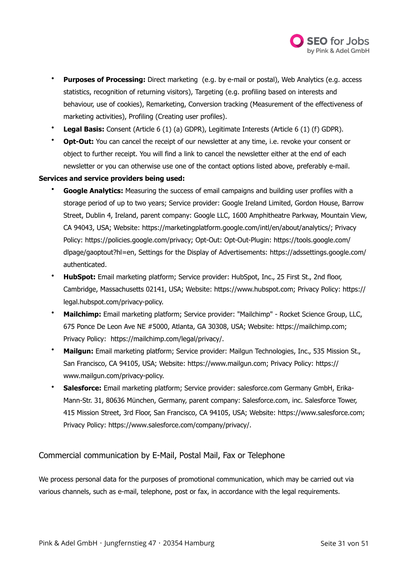

- **Purposes of Processing:** Direct marketing (e.g. by e-mail or postal), Web Analytics (e.g. access statistics, recognition of returning visitors), Targeting (e.g. profiling based on interests and behaviour, use of cookies), Remarketing, Conversion tracking (Measurement of the effectiveness of marketing activities), Profiling (Creating user profiles).
- **Legal Basis:** Consent (Article 6 (1) (a) GDPR), Legitimate Interests (Article 6 (1) (f) GDPR).
- **Opt-Out:** You can cancel the receipt of our newsletter at any time, i.e. revoke your consent or object to further receipt. You will find a link to cancel the newsletter either at the end of each newsletter or you can otherwise use one of the contact options listed above, preferably e-mail.

## **Services and service providers being used:**

- **Google Analytics:** Measuring the success of email campaigns and building user profiles with a storage period of up to two years; Service provider: Google Ireland Limited, Gordon House, Barrow Street, Dublin 4, Ireland, parent company: Google LLC, 1600 Amphitheatre Parkway, Mountain View, CA 94043, USA; Website:<https://marketingplatform.google.com/intl/en/about/analytics/>; Privacy Policy: [https://policies.google.com/privacy;](https://policies.google.com/privacy) Opt-Out: Opt-Out-Plugin: [https://tools.google.com/](https://tools.google.com/dlpage/gaoptout?hl=en) [dlpage/gaoptout?hl=en](https://tools.google.com/dlpage/gaoptout?hl=en), Settings for the Display of Advertisements: [https://adssettings.google.com/](https://adssettings.google.com/authenticated) [authenticated.](https://adssettings.google.com/authenticated)
- **HubSpot:** Email marketing platform; Service provider: HubSpot, Inc., 25 First St., 2nd floor, Cambridge, Massachusetts 02141, USA; Website: [https://www.hubspot.com;](https://www.hubspot.com) Privacy Policy: [https://](https://legal.hubspot.com/privacy-policy) [legal.hubspot.com/privacy-policy.](https://legal.hubspot.com/privacy-policy)
- **Mailchimp:** Email marketing platform; Service provider: "Mailchimp" Rocket Science Group, LLC, 675 Ponce De Leon Ave NE #5000, Atlanta, GA 30308, USA; Website: [https://mailchimp.com;](https://mailchimp.com) Privacy Policy: <https://mailchimp.com/legal/privacy/>.
- **Mailgun:** Email marketing platform; Service provider: Mailgun Technologies, Inc., 535 Mission St., San Francisco, CA 94105, USA; Website: [https://www.mailgun.com;](https://www.mailgun.com) Privacy Policy: [https://](https://www.mailgun.com/privacy-policy) [www.mailgun.com/privacy-policy.](https://www.mailgun.com/privacy-policy)
- **Salesforce:** Email marketing platform; Service provider: salesforce.com Germany GmbH, Erika-Mann-Str. 31, 80636 München, Germany, parent company: Salesforce.com, inc. Salesforce Tower, 415 Mission Street, 3rd Floor, San Francisco, CA 94105, USA; Website: <https://www.salesforce.com>; Privacy Policy:<https://www.salesforce.com/company/privacy/>.

Commercial communication by E-Mail, Postal Mail, Fax or Telephone

We process personal data for the purposes of promotional communication, which may be carried out via various channels, such as e-mail, telephone, post or fax, in accordance with the legal requirements.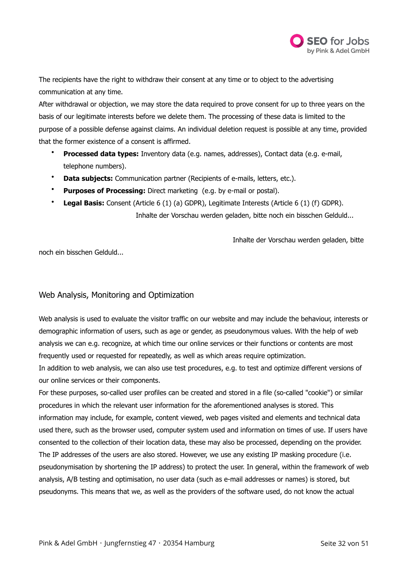

The recipients have the right to withdraw their consent at any time or to object to the advertising communication at any time.

After withdrawal or objection, we may store the data required to prove consent for up to three years on the basis of our legitimate interests before we delete them. The processing of these data is limited to the purpose of a possible defense against claims. An individual deletion request is possible at any time, provided that the former existence of a consent is affirmed.

- **Processed data types:** Inventory data (e.g. names, addresses), Contact data (e.g. e-mail, telephone numbers).
- **Data subjects:** Communication partner (Recipients of e-mails, letters, etc.).
- **Purposes of Processing:** Direct marketing (e.g. by e-mail or postal).
- **Legal Basis:** Consent (Article 6 (1) (a) GDPR), Legitimate Interests (Article 6 (1) (f) GDPR).

Inhalte der Vorschau werden geladen, bitte noch ein bisschen Gelduld...

Inhalte der Vorschau werden geladen, bitte

noch ein bisschen Gelduld...

# Web Analysis, Monitoring and Optimization

Web analysis is used to evaluate the visitor traffic on our website and may include the behaviour, interests or demographic information of users, such as age or gender, as pseudonymous values. With the help of web analysis we can e.g. recognize, at which time our online services or their functions or contents are most frequently used or requested for repeatedly, as well as which areas require optimization.

In addition to web analysis, we can also use test procedures, e.g. to test and optimize different versions of our online services or their components.

For these purposes, so-called user profiles can be created and stored in a file (so-called "cookie") or similar procedures in which the relevant user information for the aforementioned analyses is stored. This information may include, for example, content viewed, web pages visited and elements and technical data used there, such as the browser used, computer system used and information on times of use. If users have consented to the collection of their location data, these may also be processed, depending on the provider. The IP addresses of the users are also stored. However, we use any existing IP masking procedure (i.e. pseudonymisation by shortening the IP address) to protect the user. In general, within the framework of web analysis, A/B testing and optimisation, no user data (such as e-mail addresses or names) is stored, but pseudonyms. This means that we, as well as the providers of the software used, do not know the actual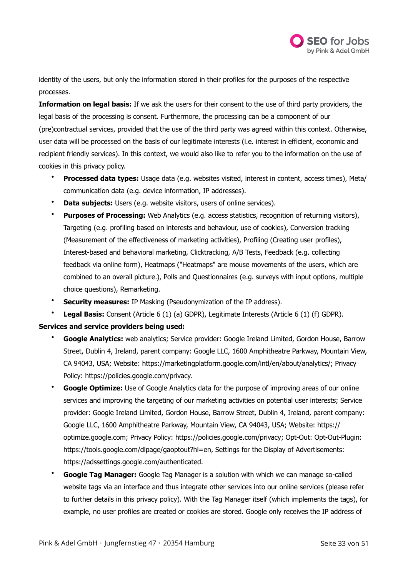

identity of the users, but only the information stored in their profiles for the purposes of the respective processes.

**Information on legal basis:** If we ask the users for their consent to the use of third party providers, the legal basis of the processing is consent. Furthermore, the processing can be a component of our (pre)contractual services, provided that the use of the third party was agreed within this context. Otherwise, user data will be processed on the basis of our legitimate interests (i.e. interest in efficient, economic and recipient friendly services). In this context, we would also like to refer you to the information on the use of cookies in this privacy policy.

- **Processed data types:** Usage data (e.g. websites visited, interest in content, access times), Meta/ communication data (e.g. device information, IP addresses).
- **Data subjects:** Users (e.g. website visitors, users of online services).
- **Purposes of Processing:** Web Analytics (e.g. access statistics, recognition of returning visitors), Targeting (e.g. profiling based on interests and behaviour, use of cookies), Conversion tracking (Measurement of the effectiveness of marketing activities), Profiling (Creating user profiles), Interest-based and behavioral marketing, Clicktracking, A/B Tests, Feedback (e.g. collecting feedback via online form), Heatmaps ("Heatmaps" are mouse movements of the users, which are combined to an overall picture.), Polls and Questionnaires (e.g. surveys with input options, multiple choice questions), Remarketing.
- **Security measures:** IP Masking (Pseudonymization of the IP address).
- **Legal Basis:** Consent (Article 6 (1) (a) GDPR), Legitimate Interests (Article 6 (1) (f) GDPR).

## **Services and service providers being used:**

- **Google Analytics:** web analytics; Service provider: Google Ireland Limited, Gordon House, Barrow Street, Dublin 4, Ireland, parent company: Google LLC, 1600 Amphitheatre Parkway, Mountain View, CA 94043, USA; Website:<https://marketingplatform.google.com/intl/en/about/analytics/>; Privacy Policy: [https://policies.google.com/privacy.](https://policies.google.com/privacy)
- **Google Optimize:** Use of Google Analytics data for the purpose of improving areas of our online services and improving the targeting of our marketing activities on potential user interests; Service provider: Google Ireland Limited, Gordon House, Barrow Street, Dublin 4, Ireland, parent company: Google LLC, 1600 Amphitheatre Parkway, Mountain View, CA 94043, USA; Website: [https://](https://optimize.google.com) [optimize.google.com;](https://optimize.google.com) Privacy Policy: <https://policies.google.com/privacy>; Opt-Out: Opt-Out-Plugin: <https://tools.google.com/dlpage/gaoptout?hl=en>, Settings for the Display of Advertisements: <https://adssettings.google.com/authenticated>.
- **Google Tag Manager:** Google Tag Manager is a solution with which we can manage so-called website tags via an interface and thus integrate other services into our online services (please refer to further details in this privacy policy). With the Tag Manager itself (which implements the tags), for example, no user profiles are created or cookies are stored. Google only receives the IP address of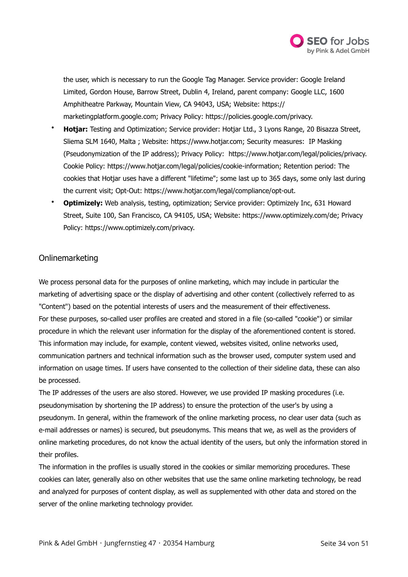

the user, which is necessary to run the Google Tag Manager. Service provider: Google Ireland Limited, Gordon House, Barrow Street, Dublin 4, Ireland, parent company: Google LLC, 1600 Amphitheatre Parkway, Mountain View, CA 94043, USA; Website: [https://](https://marketingplatform.google.com) [marketingplatform.google.com;](https://marketingplatform.google.com) Privacy Policy: [https://policies.google.com/privacy.](https://policies.google.com/privacy)

- **Hotjar:** Testing and Optimization; Service provider: Hotjar Ltd., 3 Lyons Range, 20 Bisazza Street, Sliema SLM 1640, Malta ; Website: [https://www.hotjar.com;](https://www.hotjar.com) Security measures: IP Masking (Pseudonymization of the IP address); Privacy Policy: [https://www.hotjar.com/legal/policies/privacy.](https://www.hotjar.com/legal/policies/privacy) Cookie Policy: <https://www.hotjar.com/legal/policies/cookie-information>; Retention period: The cookies that Hotjar uses have a different "lifetime"; some last up to 365 days, some only last during the current visit; Opt-Out: [https://www.hotjar.com/legal/compliance/opt-out.](https://www.hotjar.com/legal/compliance/opt-out)
- **Optimizely:** Web analysis, testing, optimization; Service provider: Optimizely Inc, 631 Howard Street, Suite 100, San Francisco, CA 94105, USA; Website: [https://www.optimizely.com/de;](https://www.optimizely.com/de) Privacy Policy: [https://www.optimizely.com/privacy.](https://www.optimizely.com/privacy)

# Onlinemarketing

We process personal data for the purposes of online marketing, which may include in particular the marketing of advertising space or the display of advertising and other content (collectively referred to as "Content") based on the potential interests of users and the measurement of their effectiveness. For these purposes, so-called user profiles are created and stored in a file (so-called "cookie") or similar procedure in which the relevant user information for the display of the aforementioned content is stored. This information may include, for example, content viewed, websites visited, online networks used, communication partners and technical information such as the browser used, computer system used and information on usage times. If users have consented to the collection of their sideline data, these can also be processed.

The IP addresses of the users are also stored. However, we use provided IP masking procedures (i.e. pseudonymisation by shortening the IP address) to ensure the protection of the user's by using a pseudonym. In general, within the framework of the online marketing process, no clear user data (such as e-mail addresses or names) is secured, but pseudonyms. This means that we, as well as the providers of online marketing procedures, do not know the actual identity of the users, but only the information stored in their profiles.

The information in the profiles is usually stored in the cookies or similar memorizing procedures. These cookies can later, generally also on other websites that use the same online marketing technology, be read and analyzed for purposes of content display, as well as supplemented with other data and stored on the server of the online marketing technology provider.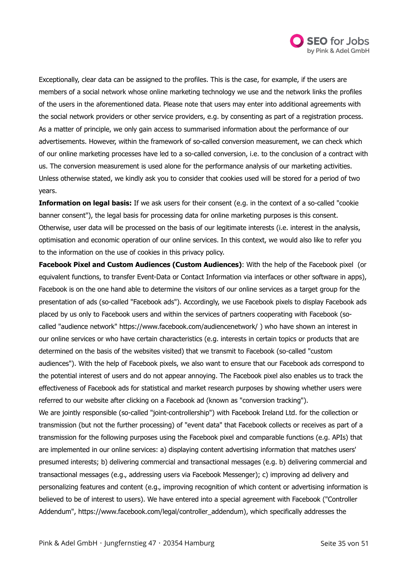

Exceptionally, clear data can be assigned to the profiles. This is the case, for example, if the users are members of a social network whose online marketing technology we use and the network links the profiles of the users in the aforementioned data. Please note that users may enter into additional agreements with the social network providers or other service providers, e.g. by consenting as part of a registration process. As a matter of principle, we only gain access to summarised information about the performance of our advertisements. However, within the framework of so-called conversion measurement, we can check which of our online marketing processes have led to a so-called conversion, i.e. to the conclusion of a contract with us. The conversion measurement is used alone for the performance analysis of our marketing activities. Unless otherwise stated, we kindly ask you to consider that cookies used will be stored for a period of two years.

**Information on legal basis:** If we ask users for their consent (e.g. in the context of a so-called "cookie banner consent"), the legal basis for processing data for online marketing purposes is this consent. Otherwise, user data will be processed on the basis of our legitimate interests (i.e. interest in the analysis, optimisation and economic operation of our online services. In this context, we would also like to refer you to the information on the use of cookies in this privacy policy.

**Facebook Pixel and Custom Audiences (Custom Audiences)**: With the help of the Facebook pixel (or equivalent functions, to transfer Event-Data or Contact Information via interfaces or other software in apps), Facebook is on the one hand able to determine the visitors of our online services as a target group for the presentation of ads (so-called "Facebook ads"). Accordingly, we use Facebook pixels to display Facebook ads placed by us only to Facebook users and within the services of partners cooperating with Facebook (socalled "audience network"<https://www.facebook.com/audiencenetwork/> ) who have shown an interest in our online services or who have certain characteristics (e.g. interests in certain topics or products that are determined on the basis of the websites visited) that we transmit to Facebook (so-called "custom audiences"). With the help of Facebook pixels, we also want to ensure that our Facebook ads correspond to the potential interest of users and do not appear annoying. The Facebook pixel also enables us to track the effectiveness of Facebook ads for statistical and market research purposes by showing whether users were referred to our website after clicking on a Facebook ad (known as "conversion tracking"). We are jointly responsible (so-called "joint-controllership") with Facebook Ireland Ltd. for the collection or transmission (but not the further processing) of "event data" that Facebook collects or receives as part of a transmission for the following purposes using the Facebook pixel and comparable functions (e.g. APIs) that are implemented in our online services: a) displaying content advertising information that matches users' presumed interests; b) delivering commercial and transactional messages (e.g. b) delivering commercial and transactional messages (e.g., addressing users via Facebook Messenger); c) improving ad delivery and personalizing features and content (e.g., improving recognition of which content or advertising information is believed to be of interest to users). We have entered into a special agreement with Facebook ("Controller Addendum", [https://www.facebook.com/legal/controller\\_addendum](https://www.facebook.com/legal/controller_addendum)), which specifically addresses the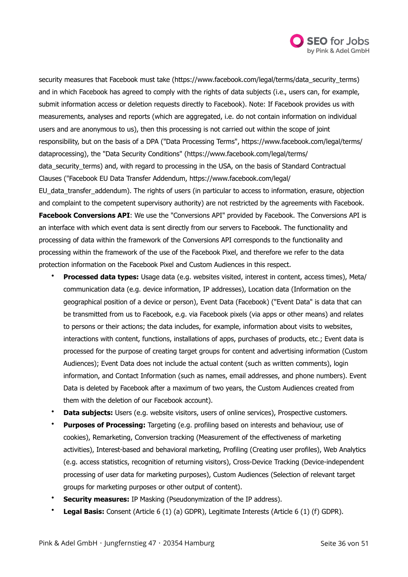

security measures that Facebook must take ([https://www.facebook.com/legal/terms/data\\_security\\_terms\)](https://www.facebook.com/legal/terms/data_security_terms) and in which Facebook has agreed to comply with the rights of data subjects (i.e., users can, for example, submit information access or deletion requests directly to Facebook). Note: If Facebook provides us with measurements, analyses and reports (which are aggregated, i.e. do not contain information on individual users and are anonymous to us), then this processing is not carried out within the scope of joint responsibility, but on the basis of a DPA ("Data Processing Terms", [https://www.facebook.com/legal/terms/](https://www.facebook.com/legal/terms/dataprocessing) [dataprocessing\)](https://www.facebook.com/legal/terms/dataprocessing), the "Data Security Conditions" [\(https://www.facebook.com/legal/terms/](https://www.facebook.com/legal/terms/data_security_terms) [data\\_security\\_terms](https://www.facebook.com/legal/terms/data_security_terms)) and, with regard to processing in the USA, on the basis of Standard Contractual Clauses ("Facebook EU Data Transfer Addendum, [https://www.facebook.com/legal/](https://www.facebook.com/legal/EU_data_transfer_addendum)

[EU\\_data\\_transfer\\_addendum](https://www.facebook.com/legal/EU_data_transfer_addendum)). The rights of users (in particular to access to information, erasure, objection and complaint to the competent supervisory authority) are not restricted by the agreements with Facebook. **Facebook Conversions API**: We use the "Conversions API" provided by Facebook. The Conversions API is an interface with which event data is sent directly from our servers to Facebook. The functionality and processing of data within the framework of the Conversions API corresponds to the functionality and processing within the framework of the use of the Facebook Pixel, and therefore we refer to the data protection information on the Facebook Pixel and Custom Audiences in this respect.

- **Processed data types:** Usage data (e.g. websites visited, interest in content, access times), Meta/ communication data (e.g. device information, IP addresses), Location data (Information on the geographical position of a device or person), Event Data (Facebook) ("Event Data" is data that can be transmitted from us to Facebook, e.g. via Facebook pixels (via apps or other means) and relates to persons or their actions; the data includes, for example, information about visits to websites, interactions with content, functions, installations of apps, purchases of products, etc.; Event data is processed for the purpose of creating target groups for content and advertising information (Custom Audiences); Event Data does not include the actual content (such as written comments), login information, and Contact Information (such as names, email addresses, and phone numbers). Event Data is deleted by Facebook after a maximum of two years, the Custom Audiences created from them with the deletion of our Facebook account).
- **Data subjects:** Users (e.g. website visitors, users of online services), Prospective customers.
- **Purposes of Processing:** Targeting (e.g. profiling based on interests and behaviour, use of cookies), Remarketing, Conversion tracking (Measurement of the effectiveness of marketing activities), Interest-based and behavioral marketing, Profiling (Creating user profiles), Web Analytics (e.g. access statistics, recognition of returning visitors), Cross-Device Tracking (Device-independent processing of user data for marketing purposes), Custom Audiences (Selection of relevant target groups for marketing purposes or other output of content).
- **Security measures:** IP Masking (Pseudonymization of the IP address).
- **Legal Basis:** Consent (Article 6 (1) (a) GDPR), Legitimate Interests (Article 6 (1) (f) GDPR).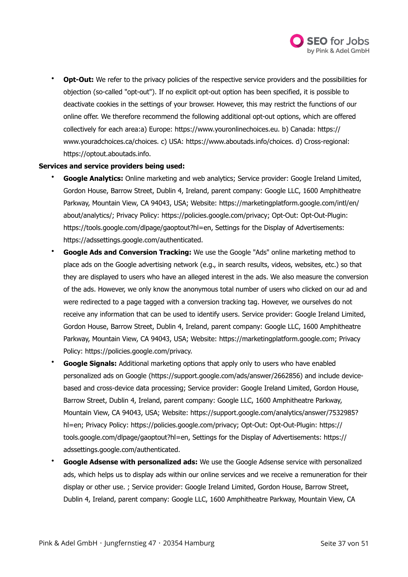

**Opt-Out:** We refer to the privacy policies of the respective service providers and the possibilities for objection (so-called "opt-out"). If no explicit opt-out option has been specified, it is possible to deactivate cookies in the settings of your browser. However, this may restrict the functions of our online offer. We therefore recommend the following additional opt-out options, which are offered collectively for each area:a) Europe:<https://www.youronlinechoices.eu>. b) Canada: [https://](https://www.youradchoices.ca/choices) [www.youradchoices.ca/choices.](https://www.youradchoices.ca/choices) c) USA: [https://www.aboutads.info/choices.](https://www.aboutads.info/choices) d) Cross-regional: <https://optout.aboutads.info>.

#### **Services and service providers being used:**

- **Google Analytics:** Online marketing and web analytics; Service provider: Google Ireland Limited, Gordon House, Barrow Street, Dublin 4, Ireland, parent company: Google LLC, 1600 Amphitheatre Parkway, Mountain View, CA 94043, USA; Website: [https://marketingplatform.google.com/intl/en/](https://marketingplatform.google.com/intl/en/about/analytics/) [about/analytics/;](https://marketingplatform.google.com/intl/en/about/analytics/) Privacy Policy: <https://policies.google.com/privacy>; Opt-Out: Opt-Out-Plugin: <https://tools.google.com/dlpage/gaoptout?hl=en>, Settings for the Display of Advertisements: <https://adssettings.google.com/authenticated>.
- **Google Ads and Conversion Tracking:** We use the Google "Ads" online marketing method to place ads on the Google advertising network (e.g., in search results, videos, websites, etc.) so that they are displayed to users who have an alleged interest in the ads. We also measure the conversion of the ads. However, we only know the anonymous total number of users who clicked on our ad and were redirected to a page tagged with a conversion tracking tag. However, we ourselves do not receive any information that can be used to identify users. Service provider: Google Ireland Limited, Gordon House, Barrow Street, Dublin 4, Ireland, parent company: Google LLC, 1600 Amphitheatre Parkway, Mountain View, CA 94043, USA; Website: <https://marketingplatform.google.com>; Privacy Policy: [https://policies.google.com/privacy.](https://policies.google.com/privacy)
- **Google Signals:** Additional marketing options that apply only to users who have enabled personalized ads on Google (<https://support.google.com/ads/answer/2662856>) and include devicebased and cross-device data processing; Service provider: Google Ireland Limited, Gordon House, Barrow Street, Dublin 4, Ireland, parent company: Google LLC, 1600 Amphitheatre Parkway, Mountain View, CA 94043, USA; Website: [https://support.google.com/analytics/answer/7532985?](https://support.google.com/analytics/answer/7532985?hl=en) [hl=en;](https://support.google.com/analytics/answer/7532985?hl=en) Privacy Policy:<https://policies.google.com/privacy>; Opt-Out: Opt-Out-Plugin: [https://](https://tools.google.com/dlpage/gaoptout?hl=en) [tools.google.com/dlpage/gaoptout?hl=en,](https://tools.google.com/dlpage/gaoptout?hl=en) Settings for the Display of Advertisements: [https://](https://adssettings.google.com/authenticated) [adssettings.google.com/authenticated](https://adssettings.google.com/authenticated).
- **Google Adsense with personalized ads:** We use the Google Adsense service with personalized ads, which helps us to display ads within our online services and we receive a remuneration for their display or other use. ; Service provider: Google Ireland Limited, Gordon House, Barrow Street, Dublin 4, Ireland, parent company: Google LLC, 1600 Amphitheatre Parkway, Mountain View, CA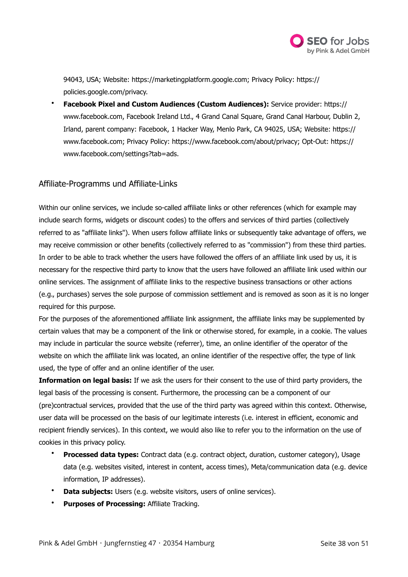

94043, USA; Website: [https://marketingplatform.google.com;](https://marketingplatform.google.com) Privacy Policy: [https://](https://policies.google.com/privacy) [policies.google.com/privacy.](https://policies.google.com/privacy)

• **Facebook Pixel and Custom Audiences (Custom Audiences):** Service provider: [https://](https://www.facebook.com) [www.facebook.com,](https://www.facebook.com) Facebook Ireland Ltd., 4 Grand Canal Square, Grand Canal Harbour, Dublin 2, Irland, parent company: Facebook, 1 Hacker Way, Menlo Park, CA 94025, USA; Website: [https://](https://www.facebook.com) [www.facebook.com;](https://www.facebook.com) Privacy Policy:<https://www.facebook.com/about/privacy>; Opt-Out: [https://](https://www.facebook.com/settings?tab=ads) [www.facebook.com/settings?tab=ads](https://www.facebook.com/settings?tab=ads).

# Affiliate-Programms und Affiliate-Links

Within our online services, we include so-called affiliate links or other references (which for example may include search forms, widgets or discount codes) to the offers and services of third parties (collectively referred to as "affiliate links"). When users follow affiliate links or subsequently take advantage of offers, we may receive commission or other benefits (collectively referred to as "commission") from these third parties. In order to be able to track whether the users have followed the offers of an affiliate link used by us, it is necessary for the respective third party to know that the users have followed an affiliate link used within our online services. The assignment of affiliate links to the respective business transactions or other actions (e.g., purchases) serves the sole purpose of commission settlement and is removed as soon as it is no longer required for this purpose.

For the purposes of the aforementioned affiliate link assignment, the affiliate links may be supplemented by certain values that may be a component of the link or otherwise stored, for example, in a cookie. The values may include in particular the source website (referrer), time, an online identifier of the operator of the website on which the affiliate link was located, an online identifier of the respective offer, the type of link used, the type of offer and an online identifier of the user.

**Information on legal basis:** If we ask the users for their consent to the use of third party providers, the legal basis of the processing is consent. Furthermore, the processing can be a component of our (pre)contractual services, provided that the use of the third party was agreed within this context. Otherwise, user data will be processed on the basis of our legitimate interests (i.e. interest in efficient, economic and recipient friendly services). In this context, we would also like to refer you to the information on the use of cookies in this privacy policy.

- **Processed data types:** Contract data (e.g. contract object, duration, customer category), Usage data (e.g. websites visited, interest in content, access times), Meta/communication data (e.g. device information, IP addresses).
- **Data subjects:** Users (e.g. website visitors, users of online services).
- **Purposes of Processing:** Affiliate Tracking.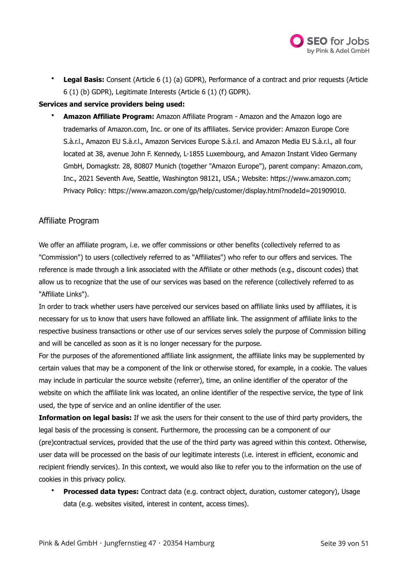

• **Legal Basis:** Consent (Article 6 (1) (a) GDPR), Performance of a contract and prior requests (Article 6 (1) (b) GDPR), Legitimate Interests (Article 6 (1) (f) GDPR).

## **Services and service providers being used:**

• **Amazon Affiliate Program:** Amazon Affiliate Program - Amazon and the Amazon logo are trademarks of Amazon.com, Inc. or one of its affiliates. Service provider: Amazon Europe Core S.à.r.l., Amazon EU S.à.r.l., Amazon Services Europe S.à.r.l. and Amazon Media EU S.à.r.l., all four located at 38, avenue John F. Kennedy, L-1855 Luxembourg, and Amazon Instant Video Germany GmbH, Domagkstr. 28, 80807 Munich (together "Amazon Europe"), parent company: Amazon.com, Inc., 2021 Seventh Ave, Seattle, Washington 98121, USA.; Website: [https://www.amazon.com;](https://www.amazon.com) Privacy Policy:<https://www.amazon.com/gp/help/customer/display.html?nodeId=201909010>.

## Affiliate Program

We offer an affiliate program, i.e. we offer commissions or other benefits (collectively referred to as "Commission") to users (collectively referred to as "Affiliates") who refer to our offers and services. The reference is made through a link associated with the Affiliate or other methods (e.g., discount codes) that allow us to recognize that the use of our services was based on the reference (collectively referred to as "Affiliate Links").

In order to track whether users have perceived our services based on affiliate links used by affiliates, it is necessary for us to know that users have followed an affiliate link. The assignment of affiliate links to the respective business transactions or other use of our services serves solely the purpose of Commission billing and will be cancelled as soon as it is no longer necessary for the purpose.

For the purposes of the aforementioned affiliate link assignment, the affiliate links may be supplemented by certain values that may be a component of the link or otherwise stored, for example, in a cookie. The values may include in particular the source website (referrer), time, an online identifier of the operator of the website on which the affiliate link was located, an online identifier of the respective service, the type of link used, the type of service and an online identifier of the user.

**Information on legal basis:** If we ask the users for their consent to the use of third party providers, the legal basis of the processing is consent. Furthermore, the processing can be a component of our (pre)contractual services, provided that the use of the third party was agreed within this context. Otherwise, user data will be processed on the basis of our legitimate interests (i.e. interest in efficient, economic and recipient friendly services). In this context, we would also like to refer you to the information on the use of cookies in this privacy policy.

• **Processed data types:** Contract data (e.g. contract object, duration, customer category), Usage data (e.g. websites visited, interest in content, access times).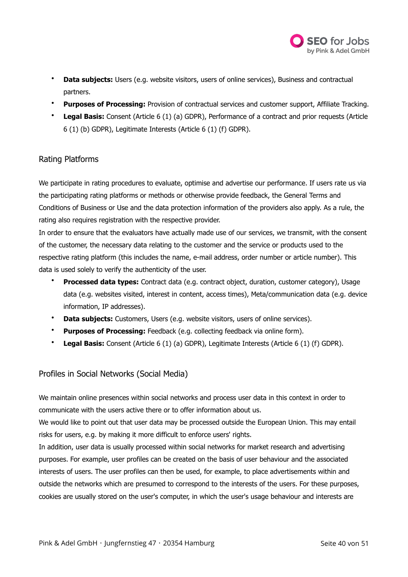

- **Data subjects:** Users (e.g. website visitors, users of online services), Business and contractual partners.
- **Purposes of Processing:** Provision of contractual services and customer support, Affiliate Tracking.
- **Legal Basis:** Consent (Article 6 (1) (a) GDPR), Performance of a contract and prior requests (Article 6 (1) (b) GDPR), Legitimate Interests (Article 6 (1) (f) GDPR).

# Rating Platforms

We participate in rating procedures to evaluate, optimise and advertise our performance. If users rate us via the participating rating platforms or methods or otherwise provide feedback, the General Terms and Conditions of Business or Use and the data protection information of the providers also apply. As a rule, the rating also requires registration with the respective provider.

In order to ensure that the evaluators have actually made use of our services, we transmit, with the consent of the customer, the necessary data relating to the customer and the service or products used to the respective rating platform (this includes the name, e-mail address, order number or article number). This data is used solely to verify the authenticity of the user.

- **Processed data types:** Contract data (e.g. contract object, duration, customer category), Usage data (e.g. websites visited, interest in content, access times), Meta/communication data (e.g. device information, IP addresses).
- **Data subjects:** Customers, Users (e.g. website visitors, users of online services).
- **Purposes of Processing:** Feedback (e.g. collecting feedback via online form).
- **Legal Basis:** Consent (Article 6 (1) (a) GDPR), Legitimate Interests (Article 6 (1) (f) GDPR).

# Profiles in Social Networks (Social Media)

We maintain online presences within social networks and process user data in this context in order to communicate with the users active there or to offer information about us.

We would like to point out that user data may be processed outside the European Union. This may entail risks for users, e.g. by making it more difficult to enforce users' rights.

In addition, user data is usually processed within social networks for market research and advertising purposes. For example, user profiles can be created on the basis of user behaviour and the associated interests of users. The user profiles can then be used, for example, to place advertisements within and outside the networks which are presumed to correspond to the interests of the users. For these purposes, cookies are usually stored on the user's computer, in which the user's usage behaviour and interests are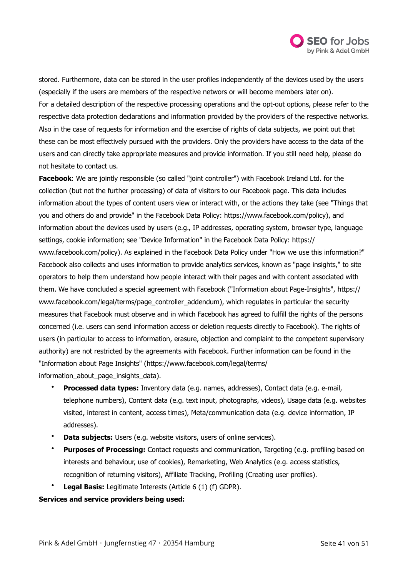

stored. Furthermore, data can be stored in the user profiles independently of the devices used by the users (especially if the users are members of the respective networs or will become members later on). For a detailed description of the respective processing operations and the opt-out options, please refer to the respective data protection declarations and information provided by the providers of the respective networks. Also in the case of requests for information and the exercise of rights of data subjects, we point out that these can be most effectively pursued with the providers. Only the providers have access to the data of the users and can directly take appropriate measures and provide information. If you still need help, please do not hesitate to contact us.

**Facebook**: We are jointly responsible (so called "joint controller") with Facebook Ireland Ltd. for the collection (but not the further processing) of data of visitors to our Facebook page. This data includes information about the types of content users view or interact with, or the actions they take (see "Things that you and others do and provide" in the Facebook Data Policy: [https://www.facebook.com/policy\)](https://www.facebook.com/policy), and information about the devices used by users (e.g., IP addresses, operating system, browser type, language settings, cookie information; see "Device Information" in the Facebook Data Policy: [https://](https://www.facebook.com/policy) [www.facebook.com/policy\)](https://www.facebook.com/policy). As explained in the Facebook Data Policy under "How we use this information?" Facebook also collects and uses information to provide analytics services, known as "page insights," to site operators to help them understand how people interact with their pages and with content associated with them. We have concluded a special agreement with Facebook ("Information about Page-Insights", [https://](https://www.facebook.com/legal/terms/page_controller_addendum) [www.facebook.com/legal/terms/page\\_controller\\_addendum](https://www.facebook.com/legal/terms/page_controller_addendum)), which regulates in particular the security measures that Facebook must observe and in which Facebook has agreed to fulfill the rights of the persons concerned (i.e. users can send information access or deletion requests directly to Facebook). The rights of users (in particular to access to information, erasure, objection and complaint to the competent supervisory authority) are not restricted by the agreements with Facebook. Further information can be found in the "Information about Page Insights" [\(https://www.facebook.com/legal/terms/](https://www.facebook.com/legal/terms/information_about_page_insights_data) [information\\_about\\_page\\_insights\\_data\).](https://www.facebook.com/legal/terms/information_about_page_insights_data) 

- **Processed data types:** Inventory data (e.g. names, addresses), Contact data (e.g. e-mail, telephone numbers), Content data (e.g. text input, photographs, videos), Usage data (e.g. websites visited, interest in content, access times), Meta/communication data (e.g. device information, IP addresses).
- **Data subjects:** Users (e.g. website visitors, users of online services).
- **Purposes of Processing:** Contact requests and communication, Targeting (e.g. profiling based on interests and behaviour, use of cookies), Remarketing, Web Analytics (e.g. access statistics, recognition of returning visitors), Affiliate Tracking, Profiling (Creating user profiles).
- **Legal Basis:** Legitimate Interests (Article 6 (1) (f) GDPR).

## **Services and service providers being used:**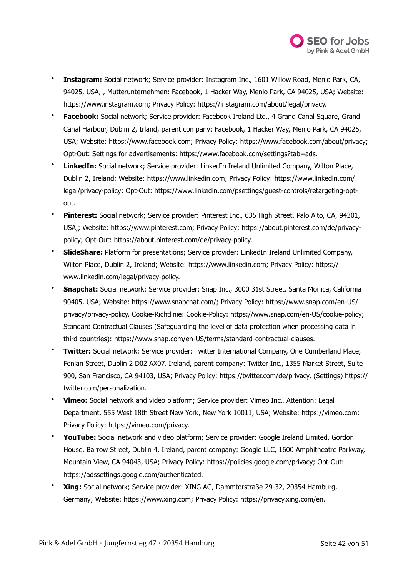

- **Instagram:** Social network; Service provider: Instagram Inc., 1601 Willow Road, Menlo Park, CA, 94025, USA, , Mutterunternehmen: Facebook, 1 Hacker Way, Menlo Park, CA 94025, USA; Website: <https://www.instagram.com>; Privacy Policy: [https://instagram.com/about/legal/privacy.](https://instagram.com/about/legal/privacy)
- **Facebook:** Social network; Service provider: Facebook Ireland Ltd., 4 Grand Canal Square, Grand Canal Harbour, Dublin 2, Irland, parent company: Facebook, 1 Hacker Way, Menlo Park, CA 94025, USA; Website: <https://www.facebook.com>; Privacy Policy: [https://www.facebook.com/about/privacy;](https://www.facebook.com/about/privacy) Opt-Out: Settings for advertisements: [https://www.facebook.com/settings?tab=ads.](https://www.facebook.com/settings?tab=ads)
- **LinkedIn:** Social network; Service provider: LinkedIn Ireland Unlimited Company, Wilton Place, Dublin 2, Ireland; Website: <https://www.linkedin.com>; Privacy Policy: [https://www.linkedin.com/](https://www.linkedin.com/legal/privacy-policy) [legal/privacy-policy;](https://www.linkedin.com/legal/privacy-policy) Opt-Out: [https://www.linkedin.com/psettings/guest-controls/retargeting-opt](https://www.linkedin.com/psettings/guest-controls/retargeting-opt-out)[out](https://www.linkedin.com/psettings/guest-controls/retargeting-opt-out).
- **Pinterest:** Social network; Service provider: Pinterest Inc., 635 High Street, Palo Alto, CA, 94301, USA,; Website: <https://www.pinterest.com>; Privacy Policy: [https://about.pinterest.com/de/privacy](https://about.pinterest.com/de/privacy-policy)[policy;](https://about.pinterest.com/de/privacy-policy) Opt-Out: [https://about.pinterest.com/de/privacy-policy.](https://about.pinterest.com/de/privacy-policy)
- **SlideShare:** Platform for presentations; Service provider: LinkedIn Ireland Unlimited Company, Wilton Place, Dublin 2, Ireland; Website: <https://www.linkedin.com>; Privacy Policy: [https://](https://www.linkedin.com/legal/privacy-policy) [www.linkedin.com/legal/privacy-policy.](https://www.linkedin.com/legal/privacy-policy)
- **Snapchat:** Social network; Service provider: Snap Inc., 3000 31st Street, Santa Monica, California 90405, USA; Website: [https://www.snapchat.com/;](https://www.snapchat.com/) Privacy Policy: [https://www.snap.com/en-US/](https://www.snap.com/en-US/privacy/privacy-policy) [privacy/privacy-policy,](https://www.snap.com/en-US/privacy/privacy-policy) Cookie-Richtlinie: Cookie-Policy: [https://www.snap.com/en-US/cookie-policy;](https://www.snap.com/en-US/cookie-policy) Standard Contractual Clauses (Safeguarding the level of data protection when processing data in third countries): [https://www.snap.com/en-US/terms/standard-contractual-clauses.](https://www.snap.com/en-US/terms/standard-contractual-clauses)
- **Twitter:** Social network; Service provider: Twitter International Company, One Cumberland Place, Fenian Street, Dublin 2 D02 AX07, Ireland, parent company: Twitter Inc., 1355 Market Street, Suite 900, San Francisco, CA 94103, USA; Privacy Policy: [https://twitter.com/de/privacy,](https://twitter.com/de/privacy) (Settings) [https://](https://twitter.com/personalization) [twitter.com/personalization](https://twitter.com/personalization).
- **Vimeo:** Social network and video platform; Service provider: Vimeo Inc., Attention: Legal Department, 555 West 18th Street New York, New York 10011, USA; Website:<https://vimeo.com>; Privacy Policy: [https://vimeo.com/privacy.](https://vimeo.com/privacy)
- **YouTube:** Social network and video platform; Service provider: Google Ireland Limited, Gordon House, Barrow Street, Dublin 4, Ireland, parent company: Google LLC, 1600 Amphitheatre Parkway, Mountain View, CA 94043, USA; Privacy Policy: [https://policies.google.com/privacy;](https://policies.google.com/privacy) Opt-Out: <https://adssettings.google.com/authenticated>.
- **Xing:** Social network; Service provider: XING AG, Dammtorstraße 29-32, 20354 Hamburg, Germany; Website: [https://www.xing.com;](https://www.xing.com) Privacy Policy: <https://privacy.xing.com/en>.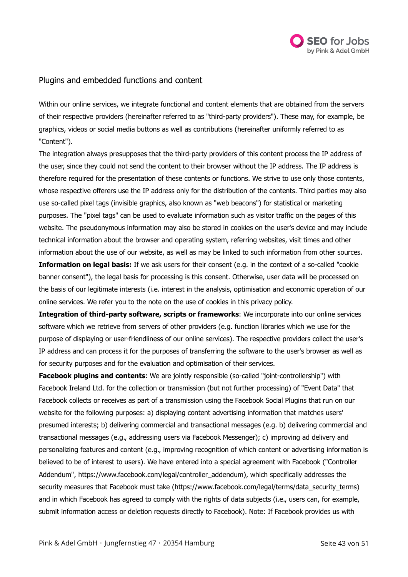

# Plugins and embedded functions and content

Within our online services, we integrate functional and content elements that are obtained from the servers of their respective providers (hereinafter referred to as "third-party providers"). These may, for example, be graphics, videos or social media buttons as well as contributions (hereinafter uniformly referred to as "Content").

The integration always presupposes that the third-party providers of this content process the IP address of the user, since they could not send the content to their browser without the IP address. The IP address is therefore required for the presentation of these contents or functions. We strive to use only those contents, whose respective offerers use the IP address only for the distribution of the contents. Third parties may also use so-called pixel tags (invisible graphics, also known as "web beacons") for statistical or marketing purposes. The "pixel tags" can be used to evaluate information such as visitor traffic on the pages of this website. The pseudonymous information may also be stored in cookies on the user's device and may include technical information about the browser and operating system, referring websites, visit times and other information about the use of our website, as well as may be linked to such information from other sources.

**Information on legal basis:** If we ask users for their consent (e.g. in the context of a so-called "cookie banner consent"), the legal basis for processing is this consent. Otherwise, user data will be processed on the basis of our legitimate interests (i.e. interest in the analysis, optimisation and economic operation of our online services. We refer you to the note on the use of cookies in this privacy policy.

**Integration of third-party software, scripts or frameworks**: We incorporate into our online services software which we retrieve from servers of other providers (e.g. function libraries which we use for the purpose of displaying or user-friendliness of our online services). The respective providers collect the user's IP address and can process it for the purposes of transferring the software to the user's browser as well as for security purposes and for the evaluation and optimisation of their services.

**Facebook plugins and contents**: We are jointly responsible (so-called "joint-controllership") with Facebook Ireland Ltd. for the collection or transmission (but not further processing) of "Event Data" that Facebook collects or receives as part of a transmission using the Facebook Social Plugins that run on our website for the following purposes: a) displaying content advertising information that matches users' presumed interests; b) delivering commercial and transactional messages (e.g. b) delivering commercial and transactional messages (e.g., addressing users via Facebook Messenger); c) improving ad delivery and personalizing features and content (e.g., improving recognition of which content or advertising information is believed to be of interest to users). We have entered into a special agreement with Facebook ("Controller Addendum", [https://www.facebook.com/legal/controller\\_addendum](https://www.facebook.com/legal/controller_addendum)), which specifically addresses the security measures that Facebook must take ([https://www.facebook.com/legal/terms/data\\_security\\_terms\)](https://www.facebook.com/legal/terms/data_security_terms) and in which Facebook has agreed to comply with the rights of data subjects (i.e., users can, for example, submit information access or deletion requests directly to Facebook). Note: If Facebook provides us with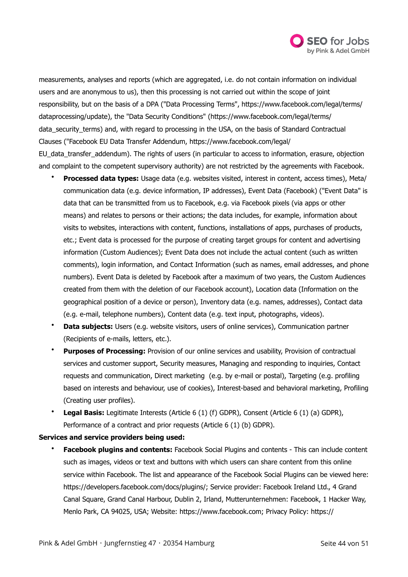

measurements, analyses and reports (which are aggregated, i.e. do not contain information on individual users and are anonymous to us), then this processing is not carried out within the scope of joint responsibility, but on the basis of a DPA ("Data Processing Terms", [https://www.facebook.com/legal/terms/](https://www.facebook.com/legal/terms/dataprocessing/update) [dataprocessing/update](https://www.facebook.com/legal/terms/dataprocessing/update)), the "Data Security Conditions" [\(https://www.facebook.com/legal/terms/](https://www.facebook.com/legal/terms/data_security_terms) [data\\_security\\_terms](https://www.facebook.com/legal/terms/data_security_terms)) and, with regard to processing in the USA, on the basis of Standard Contractual Clauses ("Facebook EU Data Transfer Addendum, [https://www.facebook.com/legal/](https://www.facebook.com/legal/EU_data_transfer_addendum) [EU\\_data\\_transfer\\_addendum](https://www.facebook.com/legal/EU_data_transfer_addendum)). The rights of users (in particular to access to information, erasure, objection and complaint to the competent supervisory authority) are not restricted by the agreements with Facebook.

- **Processed data types:** Usage data (e.g. websites visited, interest in content, access times), Meta/ communication data (e.g. device information, IP addresses), Event Data (Facebook) ("Event Data" is data that can be transmitted from us to Facebook, e.g. via Facebook pixels (via apps or other means) and relates to persons or their actions; the data includes, for example, information about visits to websites, interactions with content, functions, installations of apps, purchases of products, etc.; Event data is processed for the purpose of creating target groups for content and advertising information (Custom Audiences); Event Data does not include the actual content (such as written comments), login information, and Contact Information (such as names, email addresses, and phone numbers). Event Data is deleted by Facebook after a maximum of two years, the Custom Audiences created from them with the deletion of our Facebook account), Location data (Information on the geographical position of a device or person), Inventory data (e.g. names, addresses), Contact data (e.g. e-mail, telephone numbers), Content data (e.g. text input, photographs, videos).
- **Data subjects:** Users (e.g. website visitors, users of online services), Communication partner (Recipients of e-mails, letters, etc.).
- **Purposes of Processing:** Provision of our online services and usability, Provision of contractual services and customer support, Security measures, Managing and responding to inquiries, Contact requests and communication, Direct marketing (e.g. by e-mail or postal), Targeting (e.g. profiling based on interests and behaviour, use of cookies), Interest-based and behavioral marketing, Profiling (Creating user profiles).
- **Legal Basis:** Legitimate Interests (Article 6 (1) (f) GDPR), Consent (Article 6 (1) (a) GDPR), Performance of a contract and prior requests (Article 6 (1) (b) GDPR).

## **Services and service providers being used:**

• **Facebook plugins and contents:** Facebook Social Plugins and contents - This can include content such as images, videos or text and buttons with which users can share content from this online service within Facebook. The list and appearance of the Facebook Social Plugins can be viewed here: <https://developers.facebook.com/docs/plugins/>; Service provider: Facebook Ireland Ltd., 4 Grand Canal Square, Grand Canal Harbour, Dublin 2, Irland, Mutterunternehmen: Facebook, 1 Hacker Way, Menlo Park, CA 94025, USA; Website:<https://www.facebook.com>; Privacy Policy: [https://](https://www.facebook.com/about/privacy)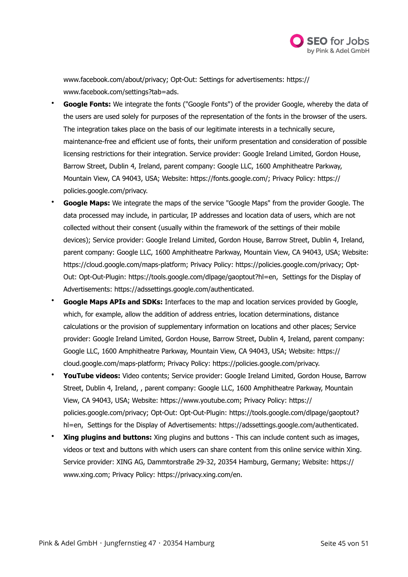

[www.facebook.com/about/privacy](https://www.facebook.com/about/privacy); Opt-Out: Settings for advertisements: [https://](https://www.facebook.com/settings?tab=ads) [www.facebook.com/settings?tab=ads](https://www.facebook.com/settings?tab=ads).

- **Google Fonts:** We integrate the fonts ("Google Fonts") of the provider Google, whereby the data of the users are used solely for purposes of the representation of the fonts in the browser of the users. The integration takes place on the basis of our legitimate interests in a technically secure, maintenance-free and efficient use of fonts, their uniform presentation and consideration of possible licensing restrictions for their integration. Service provider: Google Ireland Limited, Gordon House, Barrow Street, Dublin 4, Ireland, parent company: Google LLC, 1600 Amphitheatre Parkway, Mountain View, CA 94043, USA; Website:<https://fonts.google.com/>; Privacy Policy: [https://](https://policies.google.com/privacy) [policies.google.com/privacy.](https://policies.google.com/privacy)
- **Google Maps:** We integrate the maps of the service "Google Maps" from the provider Google. The data processed may include, in particular, IP addresses and location data of users, which are not collected without their consent (usually within the framework of the settings of their mobile devices); Service provider: Google Ireland Limited, Gordon House, Barrow Street, Dublin 4, Ireland, parent company: Google LLC, 1600 Amphitheatre Parkway, Mountain View, CA 94043, USA; Website: <https://cloud.google.com/maps-platform>; Privacy Policy: <https://policies.google.com/privacy>; Opt-Out: Opt-Out-Plugin: <https://tools.google.com/dlpage/gaoptout?hl=en>, Settings for the Display of Advertisements: [https://adssettings.google.com/authenticated.](https://adssettings.google.com/authenticated)
- **Google Maps APIs and SDKs:** Interfaces to the map and location services provided by Google, which, for example, allow the addition of address entries, location determinations, distance calculations or the provision of supplementary information on locations and other places; Service provider: Google Ireland Limited, Gordon House, Barrow Street, Dublin 4, Ireland, parent company: Google LLC, 1600 Amphitheatre Parkway, Mountain View, CA 94043, USA; Website: [https://](https://cloud.google.com/maps-platform) [cloud.google.com/maps-platform](https://cloud.google.com/maps-platform); Privacy Policy: [https://policies.google.com/privacy.](https://policies.google.com/privacy)
- **YouTube videos:** Video contents; Service provider: Google Ireland Limited, Gordon House, Barrow Street, Dublin 4, Ireland, , parent company: Google LLC, 1600 Amphitheatre Parkway, Mountain View, CA 94043, USA; Website: [https://www.youtube.com;](https://www.youtube.com) Privacy Policy: [https://](https://policies.google.com/privacy) [policies.google.com/privacy;](https://policies.google.com/privacy) Opt-Out: Opt-Out-Plugin: [https://tools.google.com/dlpage/gaoptout?](https://tools.google.com/dlpage/gaoptout?hl=en) [hl=en,](https://tools.google.com/dlpage/gaoptout?hl=en) Settings for the Display of Advertisements: <https://adssettings.google.com/authenticated>.
- **Xing plugins and buttons:** Xing plugins and buttons This can include content such as images, videos or text and buttons with which users can share content from this online service within Xing. Service provider: XING AG, Dammtorstraße 29-32, 20354 Hamburg, Germany; Website: [https://](https://www.xing.com) [www.xing.com](https://www.xing.com); Privacy Policy: [https://privacy.xing.com/en.](https://privacy.xing.com/en)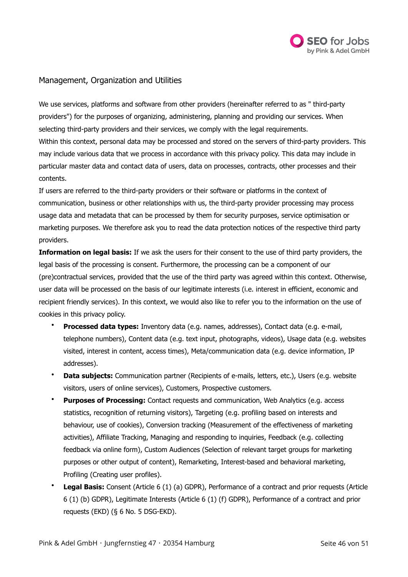

# Management, Organization and Utilities

We use services, platforms and software from other providers (hereinafter referred to as " third-party providers") for the purposes of organizing, administering, planning and providing our services. When selecting third-party providers and their services, we comply with the legal requirements. Within this context, personal data may be processed and stored on the servers of third-party providers. This may include various data that we process in accordance with this privacy policy. This data may include in particular master data and contact data of users, data on processes, contracts, other processes and their contents.

If users are referred to the third-party providers or their software or platforms in the context of communication, business or other relationships with us, the third-party provider processing may process usage data and metadata that can be processed by them for security purposes, service optimisation or marketing purposes. We therefore ask you to read the data protection notices of the respective third party providers.

**Information on legal basis:** If we ask the users for their consent to the use of third party providers, the legal basis of the processing is consent. Furthermore, the processing can be a component of our (pre)contractual services, provided that the use of the third party was agreed within this context. Otherwise, user data will be processed on the basis of our legitimate interests (i.e. interest in efficient, economic and recipient friendly services). In this context, we would also like to refer you to the information on the use of cookies in this privacy policy.

- **Processed data types:** Inventory data (e.g. names, addresses), Contact data (e.g. e-mail, telephone numbers), Content data (e.g. text input, photographs, videos), Usage data (e.g. websites visited, interest in content, access times), Meta/communication data (e.g. device information, IP addresses).
- **Data subjects:** Communication partner (Recipients of e-mails, letters, etc.), Users (e.g. website visitors, users of online services), Customers, Prospective customers.
- **Purposes of Processing:** Contact requests and communication, Web Analytics (e.g. access statistics, recognition of returning visitors), Targeting (e.g. profiling based on interests and behaviour, use of cookies), Conversion tracking (Measurement of the effectiveness of marketing activities), Affiliate Tracking, Managing and responding to inquiries, Feedback (e.g. collecting feedback via online form), Custom Audiences (Selection of relevant target groups for marketing purposes or other output of content), Remarketing, Interest-based and behavioral marketing, Profiling (Creating user profiles).
- **Legal Basis:** Consent (Article 6 (1) (a) GDPR), Performance of a contract and prior requests (Article 6 (1) (b) GDPR), Legitimate Interests (Article 6 (1) (f) GDPR), Performance of a contract and prior requests (EKD) (§ 6 No. 5 DSG-EKD).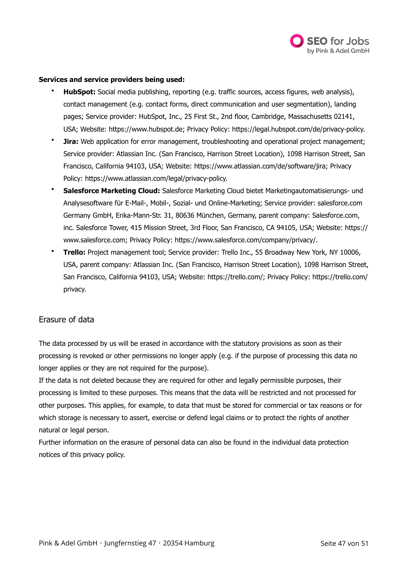

## **Services and service providers being used:**

- **HubSpot:** Social media publishing, reporting (e.g. traffic sources, access figures, web analysis), contact management (e.g. contact forms, direct communication and user segmentation), landing pages; Service provider: HubSpot, Inc., 25 First St., 2nd floor, Cambridge, Massachusetts 02141, USA; Website: <https://www.hubspot.de>; Privacy Policy: [https://legal.hubspot.com/de/privacy-policy.](https://legal.hubspot.com/de/privacy-policy)
- **Jira:** Web application for error management, troubleshooting and operational project management; Service provider: Atlassian Inc. (San Francisco, Harrison Street Location), 1098 Harrison Street, San Francisco, California 94103, USA; Website:<https://www.atlassian.com/de/software/jira>; Privacy Policy: [https://www.atlassian.com/legal/privacy-policy.](https://www.atlassian.com/legal/privacy-policy)
- **Salesforce Marketing Cloud:** Salesforce Marketing Cloud bietet Marketingautomatisierungs- und Analysesoftware für E-Mail-, Mobil-, Sozial- und Online-Marketing; Service provider: salesforce.com Germany GmbH, Erika-Mann-Str. 31, 80636 München, Germany, parent company: Salesforce.com, inc. Salesforce Tower, 415 Mission Street, 3rd Floor, San Francisco, CA 94105, USA; Website: [https://](https://www.salesforce.com) [www.salesforce.com;](https://www.salesforce.com) Privacy Policy: [https://www.salesforce.com/company/privacy/.](https://www.salesforce.com/company/privacy/)
- **Trello:** Project management tool; Service provider: Trello Inc., 55 Broadway New York, NY 10006, USA, parent company: Atlassian Inc. (San Francisco, Harrison Street Location), 1098 Harrison Street, San Francisco, California 94103, USA; Website: [https://trello.com/;](https://trello.com/) Privacy Policy: [https://trello.com/](https://trello.com/privacy) [privacy.](https://trello.com/privacy)

# Erasure of data

The data processed by us will be erased in accordance with the statutory provisions as soon as their processing is revoked or other permissions no longer apply (e.g. if the purpose of processing this data no longer applies or they are not required for the purpose).

If the data is not deleted because they are required for other and legally permissible purposes, their processing is limited to these purposes. This means that the data will be restricted and not processed for other purposes. This applies, for example, to data that must be stored for commercial or tax reasons or for which storage is necessary to assert, exercise or defend legal claims or to protect the rights of another natural or legal person.

Further information on the erasure of personal data can also be found in the individual data protection notices of this privacy policy.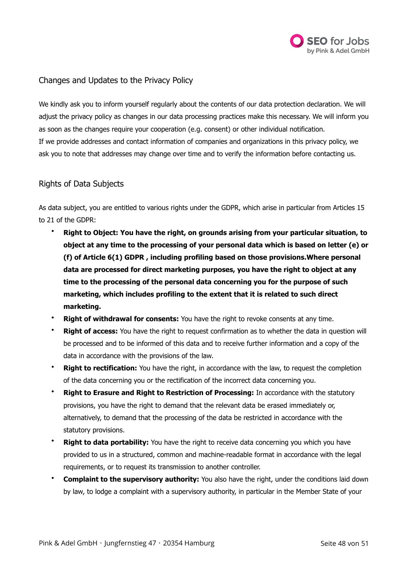

# Changes and Updates to the Privacy Policy

We kindly ask you to inform yourself regularly about the contents of our data protection declaration. We will adjust the privacy policy as changes in our data processing practices make this necessary. We will inform you as soon as the changes require your cooperation (e.g. consent) or other individual notification. If we provide addresses and contact information of companies and organizations in this privacy policy, we ask you to note that addresses may change over time and to verify the information before contacting us.

# Rights of Data Subjects

As data subject, you are entitled to various rights under the GDPR, which arise in particular from Articles 15 to 21 of the GDPR:

- **Right to Object: You have the right, on grounds arising from your particular situation, to object at any time to the processing of your personal data which is based on letter (e) or (f) of Article 6(1) GDPR , including profiling based on those provisions.Where personal data are processed for direct marketing purposes, you have the right to object at any time to the processing of the personal data concerning you for the purpose of such marketing, which includes profiling to the extent that it is related to such direct marketing.**
- **Right of withdrawal for consents:** You have the right to revoke consents at any time.
- **Right of access:** You have the right to request confirmation as to whether the data in question will be processed and to be informed of this data and to receive further information and a copy of the data in accordance with the provisions of the law.
- **Right to rectification:** You have the right, in accordance with the law, to request the completion of the data concerning you or the rectification of the incorrect data concerning you.
- **Right to Erasure and Right to Restriction of Processing:** In accordance with the statutory provisions, you have the right to demand that the relevant data be erased immediately or, alternatively, to demand that the processing of the data be restricted in accordance with the statutory provisions.
- **Right to data portability:** You have the right to receive data concerning you which you have provided to us in a structured, common and machine-readable format in accordance with the legal requirements, or to request its transmission to another controller.
- **Complaint to the supervisory authority:** You also have the right, under the conditions laid down by law, to lodge a complaint with a supervisory authority, in particular in the Member State of your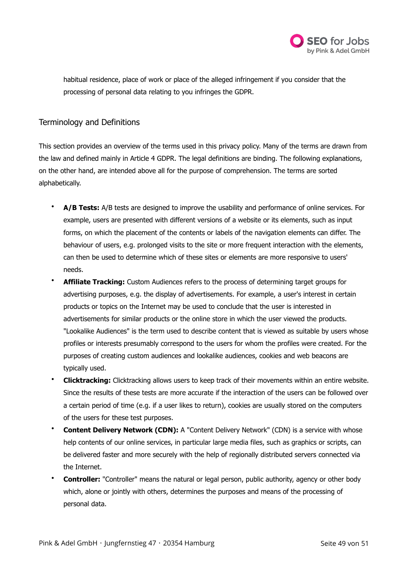

habitual residence, place of work or place of the alleged infringement if you consider that the processing of personal data relating to you infringes the GDPR.

# Terminology and Definitions

This section provides an overview of the terms used in this privacy policy. Many of the terms are drawn from the law and defined mainly in Article 4 GDPR. The legal definitions are binding. The following explanations, on the other hand, are intended above all for the purpose of comprehension. The terms are sorted alphabetically.

- **A/B Tests:** A/B tests are designed to improve the usability and performance of online services. For example, users are presented with different versions of a website or its elements, such as input forms, on which the placement of the contents or labels of the navigation elements can differ. The behaviour of users, e.g. prolonged visits to the site or more frequent interaction with the elements, can then be used to determine which of these sites or elements are more responsive to users' needs.
- **Affiliate Tracking:** Custom Audiences refers to the process of determining target groups for advertising purposes, e.g. the display of advertisements. For example, a user's interest in certain products or topics on the Internet may be used to conclude that the user is interested in advertisements for similar products or the online store in which the user viewed the products. "Lookalike Audiences" is the term used to describe content that is viewed as suitable by users whose profiles or interests presumably correspond to the users for whom the profiles were created. For the purposes of creating custom audiences and lookalike audiences, cookies and web beacons are typically used.
- **Clicktracking:** Clicktracking allows users to keep track of their movements within an entire website. Since the results of these tests are more accurate if the interaction of the users can be followed over a certain period of time (e.g. if a user likes to return), cookies are usually stored on the computers of the users for these test purposes.
- **Content Delivery Network (CDN):** A "Content Delivery Network" (CDN) is a service with whose help contents of our online services, in particular large media files, such as graphics or scripts, can be delivered faster and more securely with the help of regionally distributed servers connected via the Internet.
- **Controller:** "Controller" means the natural or legal person, public authority, agency or other body which, alone or jointly with others, determines the purposes and means of the processing of personal data.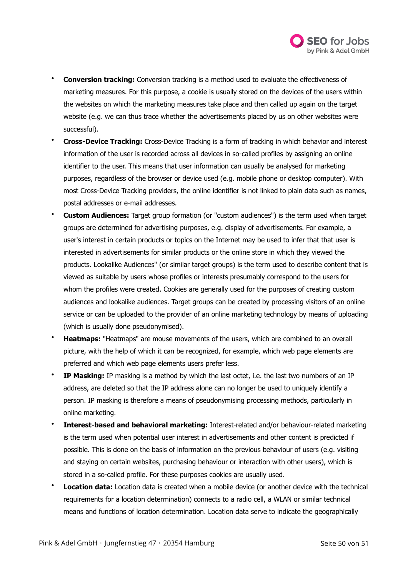

- **Conversion tracking:** Conversion tracking is a method used to evaluate the effectiveness of marketing measures. For this purpose, a cookie is usually stored on the devices of the users within the websites on which the marketing measures take place and then called up again on the target website (e.g. we can thus trace whether the advertisements placed by us on other websites were successful).
- **Cross-Device Tracking:** Cross-Device Tracking is a form of tracking in which behavior and interest information of the user is recorded across all devices in so-called profiles by assigning an online identifier to the user. This means that user information can usually be analysed for marketing purposes, regardless of the browser or device used (e.g. mobile phone or desktop computer). With most Cross-Device Tracking providers, the online identifier is not linked to plain data such as names, postal addresses or e-mail addresses.
- **Custom Audiences:** Target group formation (or "custom audiences") is the term used when target groups are determined for advertising purposes, e.g. display of advertisements. For example, a user's interest in certain products or topics on the Internet may be used to infer that that user is interested in advertisements for similar products or the online store in which they viewed the products. Lookalike Audiences" (or similar target groups) is the term used to describe content that is viewed as suitable by users whose profiles or interests presumably correspond to the users for whom the profiles were created. Cookies are generally used for the purposes of creating custom audiences and lookalike audiences. Target groups can be created by processing visitors of an online service or can be uploaded to the provider of an online marketing technology by means of uploading (which is usually done pseudonymised).
- **Heatmaps:** "Heatmaps" are mouse movements of the users, which are combined to an overall picture, with the help of which it can be recognized, for example, which web page elements are preferred and which web page elements users prefer less.
- **IP Masking:** IP masking is a method by which the last octet, i.e. the last two numbers of an IP address, are deleted so that the IP address alone can no longer be used to uniquely identify a person. IP masking is therefore a means of pseudonymising processing methods, particularly in online marketing.
- **Interest-based and behavioral marketing:** Interest-related and/or behaviour-related marketing is the term used when potential user interest in advertisements and other content is predicted if possible. This is done on the basis of information on the previous behaviour of users (e.g. visiting and staying on certain websites, purchasing behaviour or interaction with other users), which is stored in a so-called profile. For these purposes cookies are usually used.
- **Location data:** Location data is created when a mobile device (or another device with the technical requirements for a location determination) connects to a radio cell, a WLAN or similar technical means and functions of location determination. Location data serve to indicate the geographically